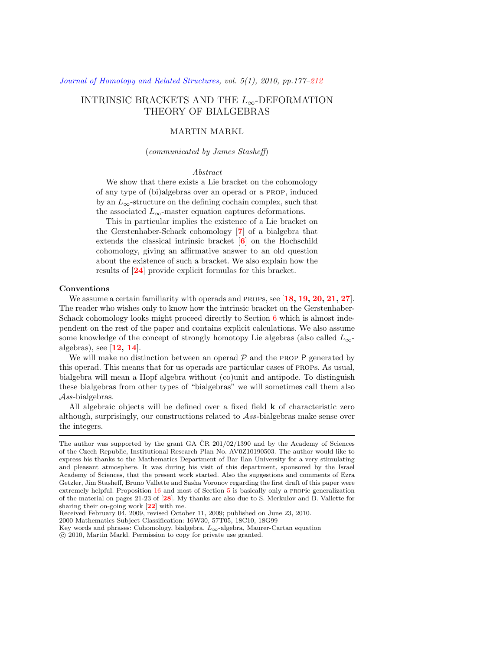# INTRINSIC BRACKETS AND THE *L∞*-DEFORMATION THEORY OF BIALGEBRAS

# MARTIN MARKL

#### (*communicated by James Stasheff*)

#### *Abstract*

We show that there exists a Lie bracket on the cohomology of any type of (bi)algebras over an operad or a prop, induced by an  $L_{\infty}$ -structure on the defining cochain complex, such that the associated  $L_{\infty}$ -master equation captures deformations.

This in particular implies the existence of a Lie bracket on the Gerstenhaber-Schack cohomology [**[7](#page-34-0)**] of a bialgebra that extends the classical intrinsic bracket [**[6](#page-33-0)**] on the Hochschild cohomology, giving an affirmative answer to an old question about the existence of such a bracket. We also explain how the results of [**[24](#page-34-1)**] provide explicit formulas for this bracket.

#### **Conventions**

We assume a certain familiarity with operads and props, see [**[18](#page-34-2), [19,](#page-34-3) [20,](#page-34-4) [21](#page-34-5), [27](#page-34-6)**]. The reader who wishes only to know how the intrinsic bracket on the Gerstenhaber-Schack cohomology looks might proceed directly to Section [6](#page-22-0) which is almost independent on the rest of the paper and contains explicit calculations. We also assume some knowledge of the concept of strongly homotopy Lie algebras (also called *L∞* algebras), see [**[12,](#page-34-7) [14](#page-34-8)**].

We will make no distinction between an operad  $P$  and the PROP  $P$  generated by this operad. This means that for us operads are particular cases of props. As usual, bialgebra will mean a Hopf algebra without (co)unit and antipode. To distinguish these bialgebras from other types of "bialgebras" we will sometimes call them also *Ass*-bialgebras.

All algebraic objects will be defined over a fixed field **k** of characteristic zero although, surprisingly, our constructions related to *Ass*-bialgebras make sense over the integers.

The author was supported by the grant GA  $\rm \check{C}R$  201/02/1390 and by the Academy of Sciences of the Czech Republic, Institutional Research Plan No. AV0Z10190503. The author would like to express his thanks to the Mathematics Department of Bar Ilan University for a very stimulating and pleasant atmosphere. It was during his visit of this department, sponsored by the Israel Academy of Sciences, that the present work started. Also the suggestions and comments of Ezra Getzler, Jim Stasheff, Bruno Vallette and Sasha Voronov regarding the first draft of this paper were extremely helpful. Proposition [16](#page-20-0) and most of Section [5](#page-20-1) is basically only a propic generalization of the material on pages 21-23 of [**[28](#page-35-0)**]. My thanks are also due to S. Merkulov and B. Vallette for sharing their on-going work [**[22](#page-34-9)**] with me.

Received February 04, 2009, revised October 11, 2009; published on June 23, 2010.

<sup>2000</sup> Mathematics Subject Classification: 16W30, 57T05, 18C10, 18G99

Key words and phrases: Cohomology, bialgebra, *L∞*-algebra, Maurer-Cartan equation *⃝*c 2010, Martin Markl. Permission to copy for private use granted.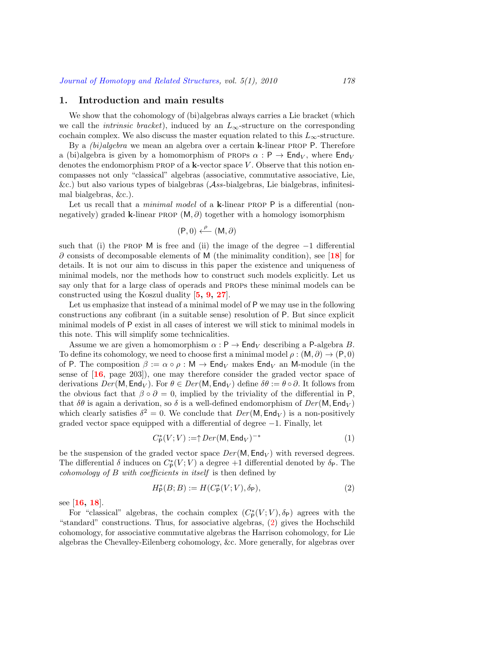## <span id="page-1-2"></span>**1. Introduction and main results**

We show that the cohomology of (bi)algebras always carries a Lie bracket (which we call the *intrinsic bracket*), induced by an  $L_{\infty}$ -structure on the corresponding cochain complex. We also discuss the master equation related to this  $L_{\infty}$ -structure.

By a *(bi)algebra* we mean an algebra over a certain **k**-linear prop P. Therefore a (bi)algebra is given by a homomorphism of PROPs  $\alpha$ : P  $\rightarrow$  End<sub>V</sub>, where End<sub>V</sub> denotes the endomorphism prop of a **k**-vector space *V* . Observe that this notion encompasses not only "classical" algebras (associative, commutative associative, Lie, &c.) but also various types of bialgebras (*Ass*-bialgebras, Lie bialgebras, infinitesimal bialgebras, &c.).

Let us recall that a *minimal model* of a **k**-linear PROP P is a differential (nonnegatively) graded **k**-linear prop (M*, ∂*) together with a homology isomorphism

$$
(\mathsf{P},0) \xleftarrow{\rho} (\mathsf{M},\partial)
$$

such that (i) the prop M is free and (ii) the image of the degree *−*1 differential *∂* consists of decomposable elements of M (the minimality condition), see [**[18](#page-34-2)**] for details. It is not our aim to discuss in this paper the existence and uniqueness of minimal models, nor the methods how to construct such models explicitly. Let us say only that for a large class of operads and props these minimal models can be constructed using the Koszul duality [**[5,](#page-33-1) [9,](#page-34-10) [27](#page-34-6)**].

Let us emphasize that instead of a minimal model of P we may use in the following constructions any cofibrant (in a suitable sense) resolution of P. But since explicit minimal models of P exist in all cases of interest we will stick to minimal models in this note. This will simplify some technicalities.

Assume we are given a homomorphism  $\alpha$  :  $P \rightarrow$  End<sub>V</sub> describing a P-algebra *B*. To define its cohomology, we need to choose first a minimal model  $\rho : (M, \partial) \to (P, 0)$ of P. The composition  $\beta := \alpha \circ \rho : \mathsf{M} \to \mathsf{End}_V$  makes  $\mathsf{End}_V$  an M-module (in the sense of [**[16](#page-34-11)**, page 203]), one may therefore consider the graded vector space of derivations  $Der(\mathsf{M}, \mathsf{End}_V)$ . For  $\theta \in Der(\mathsf{M}, \mathsf{End}_V)$  define  $\delta \theta := \theta \circ \partial$ . It follows from the obvious fact that  $\beta \circ \partial = 0$ , implied by the triviality of the differential in P, that  $\delta\theta$  is again a derivation, so  $\delta$  is a well-defined endomorphism of  $Der(M, End_V)$ which clearly satisfies  $\delta^2 = 0$ . We conclude that  $Der(M, End_V)$  is a non-positively graded vector space equipped with a differential of degree *−*1. Finally, let

<span id="page-1-1"></span>
$$
C_{\mathsf{P}}^*(V;V) := \uparrow Der(\mathsf{M}, \mathsf{End}_V)^{-*} \tag{1}
$$

be the suspension of the graded vector space  $Der(M, End_V)$  with reversed degrees. The differential  $\delta$  induces on  $C^*_{\mathsf{P}}(V;V)$  a degree +1 differential denoted by  $\delta_{\mathsf{P}}$ . The *cohomology of B with coefficients in itself* is then defined by

<span id="page-1-0"></span>
$$
H_{\mathsf{P}}^*(B;B) := H(C_{\mathsf{P}}^*(V;V), \delta_{\mathsf{P}}),\tag{2}
$$

see [**[16](#page-34-11), [18](#page-34-2)**].

For "classical" algebras, the cochain complex  $(C_P^*(V; V), \delta_P)$  agrees with the "standard" constructions. Thus, for associative algebras, [\(2](#page-1-0)) gives the Hochschild cohomology, for associative commutative algebras the Harrison cohomology, for Lie algebras the Chevalley-Eilenberg cohomology, &c. More generally, for algebras over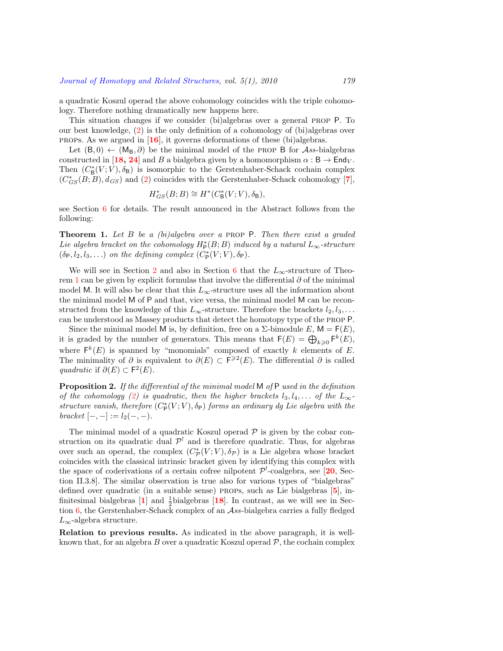a quadratic Koszul operad the above cohomology coincides with the triple cohomology. Therefore nothing dramatically new happens here.

This situation changes if we consider (bi)algebras over a general prop P. To our best knowledge, [\(2](#page-1-0)) is the only definition of a cohomology of (bi)algebras over props. As we argued in [**[16](#page-34-11)**], it governs deformations of these (bi)algebras.

Let  $(B,0) \leftarrow (M_B, \partial)$  be the minimal model of the PROP B for *Ass*-bialgebras constructed in [[18](#page-34-2), [24](#page-34-1)] and *B* a bialgebra given by a homomorphism  $\alpha : B \to \text{End}_V$ . Then  $(C^*_{\mathsf{B}}(V;V), \delta_{\mathsf{B}})$  is isomorphic to the Gerstenhaber-Schack cochain complex  $(C_{GS}^*(B;B), d_{GS})$  and [\(2](#page-1-0)) coincides with the Gerstenhaber-Schack cohomology [**[7](#page-34-0)**],

$$
H^*_{GS}(B;B) \cong H^*(C^*_B(V;V), \delta_B),
$$

see Section [6](#page-22-0) for details. The result announced in the Abstract follows from the following:

<span id="page-2-0"></span>**Theorem 1.** *Let B be a (bi)algebra over a* prop P*. Then there exist a graded Lie algebra bracket on the cohomology*  $H_P^*(B;B)$  *induced by a natural*  $L_{\infty}$ -structure  $(\delta_P, l_2, l_3, \ldots)$  *on the defining complex*  $(C_P^*(V; V), \delta_P)$ *.* 

We will see in Section [2](#page-5-0) and also in Section [6](#page-22-0) that the  $L_{\infty}$ -structure of Theorem [1](#page-2-0) can be given by explicit formulas that involve the differential *∂* of the minimal model M. It will also be clear that this  $L_{\infty}$ -structure uses all the information about the minimal model M of P and that, vice versa, the minimal model M can be reconstructed from the knowledge of this  $L_{\infty}$ -structure. Therefore the brackets  $l_2, l_3, \ldots$ can be understood as Massey products that detect the homotopy type of the prop P.

Since the minimal model M is, by definition, free on a  $\Sigma$ -bimodule  $E$ ,  $M = F(E)$ , it is graded by the number of generators. This means that  $F(E) = \bigoplus_{k \geqslant 0} F^k(E)$ , where  $F^k(E)$  is spanned by "monomials" composed of exactly k elements of E. The minimality of  $\partial$  is equivalent to  $\partial(E) \subset F^{\geqslant 2}(E)$ . The differential  $\partial$  is called *quadratic* if  $\partial(E)$  ⊂  $F^2(E)$ .

<span id="page-2-1"></span>**Proposition 2.** *If the differential of the minimal model* M *of* P *used in the definition of the cohomology ([2\)](#page-1-0) is quadratic, then the higher brackets*  $l_3, l_4, \ldots$  *of the*  $L_{\infty}$ *structure vanish, therefore*  $(C^*_{\mathsf{P}}(V;V), \delta_{\mathsf{P}})$  *forms an ordinary dg Lie algebra with the*  $$ 

The minimal model of a quadratic Koszul operad  $P$  is given by the cobar construction on its quadratic dual  $\mathcal{P}^!$  and is therefore quadratic. Thus, for algebras over such an operad, the complex  $(C^*_{\mathcal{P}}(V;V), \delta_{\mathcal{P}})$  is a Lie algebra whose bracket coincides with the classical intrinsic bracket given by identifying this complex with the space of coderivations of a certain cofree nilpotent  $\mathcal{P}^!$ -coalgebra, see [[20](#page-34-4), Section II.3.8]. The similar observation is true also for various types of "bialgebras" defined over quadratic (in a suitable sense) props, such as Lie bialgebras [**[5](#page-33-1)**], infinitesimal bialgebras  $\begin{bmatrix} 1 \end{bmatrix}$  $\begin{bmatrix} 1 \end{bmatrix}$  $\begin{bmatrix} 1 \end{bmatrix}$  and  $\frac{1}{2}$ bialgebras  $\begin{bmatrix} 18 \end{bmatrix}$  $\begin{bmatrix} 18 \end{bmatrix}$  $\begin{bmatrix} 18 \end{bmatrix}$ . In contrast, as we will see in Sec-tion [6](#page-22-0), the Gerstenhaber-Schack complex of an *Ass*-bialgebra carries a fully fledged *L∞*-algebra structure.

**Relation to previous results.** As indicated in the above paragraph, it is wellknown that, for an algebra  $B$  over a quadratic Koszul operad  $P$ , the cochain complex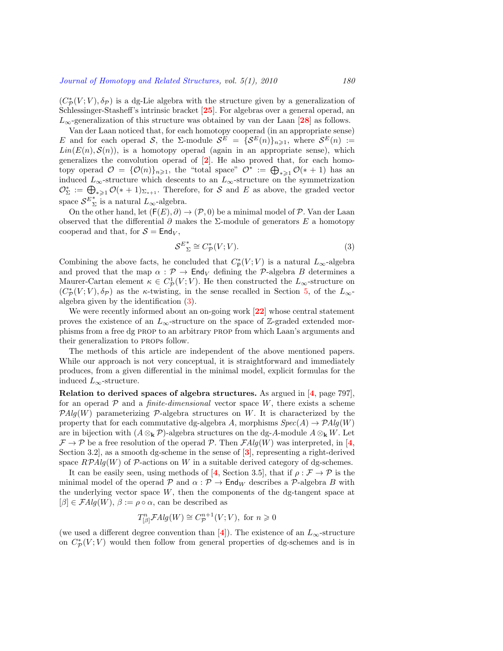$(C^*_{\mathcal{P}}(V;V), \delta_{\mathcal{P}})$  is a dg-Lie algebra with the structure given by a generalization of Schlessinger-Stasheff's intrinsic bracket [**[25](#page-34-12)**]. For algebras over a general operad, an *L∞*-generalization of this structure was obtained by van der Laan [**[28](#page-35-0)**] as follows.

Van der Laan noticed that, for each homotopy cooperad (in an appropriate sense) *E* and for each operad *S*, the  $\Sigma$ -module  $S^E = {\{S^E(n)\}}_{n \geqslant 1}$ , where  $S^E(n) :=$  $Lin(E(n), S(n))$ , is a homotopy operad (again in an appropriate sense), which generalizes the convolution operad of [**[2](#page-33-3)**]. He also proved that, for each homotopy operad  $\mathcal{O} = \{ \mathcal{O}(n) \}_{n \geqslant 1}$ , the "total space"  $\mathcal{O}^* := \bigoplus_{* \geqslant 1} \mathcal{O}(*+1)$  has an induced  $L_{\infty}$ -structure which descents to an  $L_{\infty}$ -structure on the symmetrization  $\mathcal{O}_{\Sigma}^* := \bigoplus_{*\geq 1} \mathcal{O}(*+1)_{\Sigma_{*+1}}$ . Therefore, for *S* and *E* as above, the graded vector space  $S^{E^*}_{\Sigma}$  is a natural  $L_{\infty}$ -algebra.

On the other hand, let  $(F(E), \partial) \rightarrow (P, 0)$  be a minimal model of P. Van der Laan observed that the differential *∂* makes the Σ-module of generators *E* a homotopy cooperad and that, for  $S = End_V$ ,

<span id="page-3-0"></span>
$$
S^{E_{\Sigma}^{*}} \cong C_{\mathcal{P}}^{*}(V;V). \tag{3}
$$

Combining the above facts, he concluded that  $C^*_{\mathsf{P}}(V;V)$  is a natural  $L_{\infty}$ -algebra and proved that the map  $\alpha$  :  $\mathcal{P} \to \mathsf{End}_V$  defining the  $\mathcal{P}$ -algebra *B* determines a Maurer-Cartan element  $\kappa \in C^1_{\mathcal{P}}(V;V)$ . He then constructed the  $L_{\infty}$ -structure on  $(C^*_{\mathcal{P}}(V;V), \delta_{\mathcal{P}})$  as the *κ*-twisting, in the sense recalled in Section [5](#page-20-1), of the  $L_{\infty}$ algebra given by the identification([3\)](#page-3-0).

We were recently informed about an on-going work [**[22](#page-34-9)**] whose central statement proves the existence of an  $L_{\infty}$ -structure on the space of Z-graded extended morphisms from a free dg prop to an arbitrary prop from which Laan's arguments and their generalization to props follow.

The methods of this article are independent of the above mentioned papers. While our approach is not very conceptual, it is straightforward and immediately produces, from a given differential in the minimal model, explicit formulas for the induced *L∞*-structure.

**Relation to derived spaces of algebra structures.** As argued in [**[4](#page-33-4)**, page 797], for an operad  $P$  and a *finite-dimensional* vector space  $W$ , there exists a scheme  $PAlg(W)$  parameterizing  $P$ -algebra structures on *W*. It is characterized by the property that for each commutative dg-algebra *A*, morphisms  $Spec(A) \rightarrow \mathcal{P}Alg(W)$ are in bijection with  $(A \otimes_k P)$ -algebra structures on the dg-A-module  $A \otimes_k W$ . Let  $\mathcal{F} \to \mathcal{P}$  be a free resolution of the operad  $\mathcal{P}$ . Then  $\mathcal{F}Alg(W)$  was interpreted, in [[4](#page-33-4),] Section 3.2], as a smooth dg-scheme in the sense of [**[3](#page-33-5)**], representing a right-derived space  $R\mathcal{P}Alg(W)$  of  $\mathcal{P}$ -actions on *W* in a suitable derived category of dg-schemes.

It can be easily seen, using methods of [[4](#page-33-4), Section 3.5], that if  $\rho : \mathcal{F} \to \mathcal{P}$  is the minimal model of the operad  $\mathcal P$  and  $\alpha : \mathcal P \to \mathsf{End}_W$  describes a  $\mathcal P$ -algebra *B* with the underlying vector space  $W$ , then the components of the dg-tangent space at  $[\beta] \in \mathcal{F}Alg(W)$ ,  $\beta := \rho \circ \alpha$ , can be described as

$$
T^n_{[\beta]}\mathcal{F}Alg(W)\cong C^{n+1}_{\mathcal{P}}(V;V),\text{ for }n\geqslant 0
$$

(we used a different degree convention than  $[4]$  $[4]$  $[4]$ ). The existence of an  $L_{\infty}$ -structure on  $C^*_{\mathcal{P}}(V; V)$  would then follow from general properties of dg-schemes and is in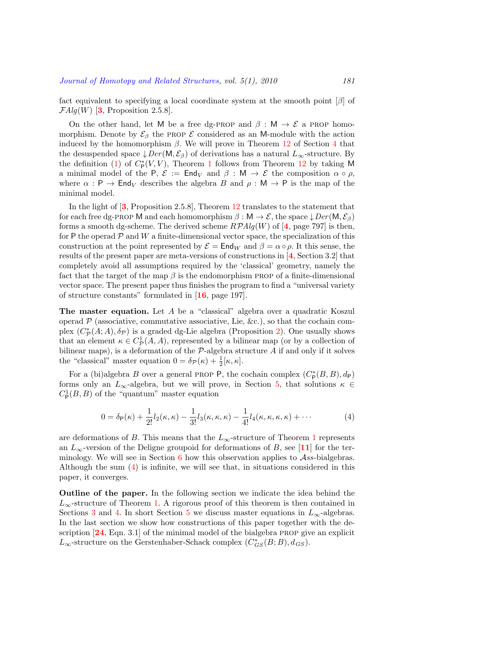fact equivalent to specifying a local coordinate system at the smooth point [*β*] of  $\mathcal{F}Alg(W)$  [[3](#page-33-5), Proposition 2.5.8].

On the other hand, let M be a free dg-PROP and  $\beta : M \to \mathcal{E}$  a PROP homomorphism. Denote by  $\mathcal{E}_{\beta}$  the PROP  $\mathcal E$  considered as an M-module with the action induced by the homomorphism  $\beta$ . We will prove in Theorem [12](#page-15-0) of Section [4](#page-12-0) that the desuspended space  $\downarrow$  *Der* (M,  $\mathcal{E}_{\beta}$ ) of derivations has a natural  $L_{\infty}$ -structure. By thedefinition ([1\)](#page-1-1) of  $C^*_{\mathsf{P}}(V, V)$ , Theorem [1](#page-2-0) follows from Theorem [12](#page-15-0) by taking M a minimal model of the P,  $\mathcal{E} := \mathsf{End}_V$  and  $\beta : \mathsf{M} \to \mathcal{E}$  the composition  $\alpha \circ \rho$ , where  $\alpha$ : P  $\rightarrow$  End<sub>V</sub> describes the algebra *B* and  $\rho$ : M  $\rightarrow$  P is the map of the minimal model.

In the light of [**[3](#page-33-5)**, Proposition 2.5.8], Theorem [12](#page-15-0) translates to the statement that for each free dg-PROP M and each homomorphism  $\beta : M \to \mathcal{E}$ , the space  $\downarrow Der(M, \mathcal{E}_{\beta})$ forms a smooth dg-scheme. The derived scheme  $RPAlg(W)$  of [[4](#page-33-4), page 797] is then, for P the operad  $P$  and  $W$  a finite-dimensional vector space, the specialization of this construction at the point represented by  $\mathcal{E} = \text{End}_W$  and  $\beta = \alpha \circ \rho$ . It this sense, the results of the present paper are meta-versions of constructions in [**[4](#page-33-4)**, Section 3.2] that completely avoid all assumptions required by the 'classical' geometry, namely the fact that the target of the map  $\beta$  is the endomorphism PROP of a finite-dimensional vector space. The present paper thus finishes the program to find a "universal variety of structure constants" formulated in [**[16](#page-34-11)**, page 197].

**The master equation.** Let *A* be a "classical" algebra over a quadratic Koszul operad  $P$  (associative, commutative associative, Lie, &c.), so that the cochain complex  $(C^*_{\mathcal{P}}(A;A), \delta_{\mathcal{P}})$  is a graded dg-Lie algebra (Proposition [2](#page-2-1)). One usually shows that an element  $\kappa \in C^1_{\mathcal{P}}(A, A)$ , represented by a bilinear map (or by a collection of bilinear maps), is a deformation of the *P*-algebra structure *A* if and only if it solves the "classical" master equation  $0 = \delta_{\mathcal{P}}(\kappa) + \frac{1}{2}[\kappa, \kappa].$ 

For a (bi)algebra *B* over a general PROP P, the cochain complex  $(C_P^*(B, B), d_P)$ forms only an  $L_\infty$ -algebra, but we will prove, in Section [5](#page-20-1), that solutions  $\kappa \in$  $C^1_{\mathsf{P}}(B, B)$  of the "quantum" master equation

<span id="page-4-0"></span>
$$
0 = \delta_{\mathsf{P}}(\kappa) + \frac{1}{2!} l_2(\kappa, \kappa) - \frac{1}{3!} l_3(\kappa, \kappa, \kappa) - \frac{1}{4!} l_4(\kappa, \kappa, \kappa, \kappa) + \cdots
$$
 (4)

are deformations of *B*. This means that the  $L_{\infty}$ -structure of Theorem [1](#page-2-0) represents an  $L_{\infty}$ -version of the Deligne groupoid for deformations of *B*, see [[11](#page-34-13)] for the terminology. We will see in Section [6](#page-22-0) how this observation applies to *Ass*-bialgebras. Although the sum([4\)](#page-4-0) is infinite, we will see that, in situations considered in this paper, it converges.

**Outline of the paper.** In the following section we indicate the idea behind the  $L_{\infty}$ -structure of Theorem [1](#page-2-0). A rigorous proof of this theorem is then contained in Sections [3](#page-9-0) and [4](#page-12-0). In short Section [5](#page-20-1) we discuss master equations in  $L_{\infty}$ -algebras. In the last section we show how constructions of this paper together with the description [**[24](#page-34-1)**, Eqn. 3.1] of the minimal model of the bialgebra prop give an explicit  $L_{\infty}$ -structure on the Gerstenhaber-Schack complex  $(C_{GS}^*(B;B), d_{GS})$ .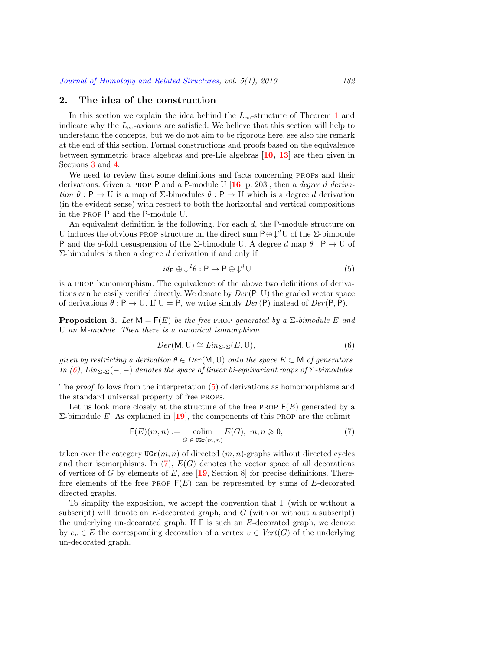### <span id="page-5-0"></span>**2. The idea of the construction**

In this section we explain the idea behind the  $L_{\infty}$ -structure of Theorem [1](#page-2-0) and indicate why the  $L_{\infty}$ -axioms are satisfied. We believe that this section will help to understand the concepts, but we do not aim to be rigorous here, see also the remark at the end of this section. Formal constructions and proofs based on the equivalence between symmetric brace algebras and pre-Lie algebras [**[10,](#page-34-14) [13](#page-34-15)**] are then given in Sections [3](#page-9-0) and [4](#page-12-0).

We need to review first some definitions and facts concerning props and their derivations. Given a prop P and a P-module U [**[16](#page-34-11)**, p. 203], then a *degree d derivation*  $\theta$ :  $P \rightarrow U$  is a map of  $\Sigma$ -bimodules  $\theta$ :  $P \rightarrow U$  which is a degree *d* derivation (in the evident sense) with respect to both the horizontal and vertical compositions in the prop P and the P-module U.

An equivalent definition is the following. For each *d*, the P-module structure on U induces the obvious PROP structure on the direct sum  $P ⊕ ∄<sup>d</sup>U$  of the Σ-bimodule P and the *d*-fold desuspension of the Σ-bimodule U. A degree *d* map *θ* : P *→* U of Σ-bimodules is then a degree *d* derivation if and only if

<span id="page-5-2"></span>
$$
id_{\mathsf{P}} \oplus \downarrow^d \theta : \mathsf{P} \to \mathsf{P} \oplus \downarrow^d \mathsf{U} \tag{5}
$$

is a prop homomorphism. The equivalence of the above two definitions of derivations can be easily verified directly. We denote by *Der* (P*,* U) the graded vector space of derivations  $\theta$  : P  $\rightarrow$  U. If U = P, we write simply  $Der(P)$  instead of  $Der(P, P)$ .

<span id="page-5-4"></span>**Proposition 3.** Let  $M = F(E)$  be the free PROP generated by a  $\Sigma$ -bimodule E and U *an* M*-module. Then there is a canonical isomorphism*

<span id="page-5-1"></span>
$$
Der(\mathsf{M},\mathsf{U}) \cong Lin_{\Sigma-\Sigma}(E,\mathsf{U}),\tag{6}
$$

*given by restricting a derivation*  $\theta \in Der(M, U)$  *onto the space*  $E \subset M$  *of generators. In [\(6](#page-5-1)), Lin*<sub> $\Sigma$ </sub> $\Sigma$  $(-, -)$  *denotes the space of linear bi-equivariant maps of*  $\Sigma$ *-bimodules.* 

The *proof* follows from the interpretation [\(5](#page-5-2)) of derivations as homomorphisms and the standard universal property of free props.  $\Box$ 

Let us look more closely at the structure of the free PROP  $F(E)$  generated by a Σ-bimodule *E*. As explained in [**[19](#page-34-3)**], the components of this prop are the colimit

<span id="page-5-3"></span>
$$
\mathsf{F}(E)(m,n) := \underset{G \in \text{ UGr}(m,n)}{\text{colim}} E(G), \ m, n \geqslant 0,
$$
\n<sup>(7)</sup>

taken over the category  $\text{UGr}(m, n)$  of directed  $(m, n)$ -graphs without directed cycles andtheir isomorphisms. In  $(7)$  $(7)$ ,  $E(G)$  denotes the vector space of all decorations of vertices of *G* by elements of *E*, see [**[19](#page-34-3)**, Section 8] for precise definitions. Therefore elements of the free PROP  $F(E)$  can be represented by sums of E-decorated directed graphs.

To simplify the exposition, we accept the convention that  $\Gamma$  (with or without a subscript) will denote an *E*-decorated graph, and *G* (with or without a subscript) the underlying un-decorated graph. If Γ is such an *E*-decorated graph, we denote by  $e_v \in E$  the corresponding decoration of a vertex  $v \in Vert(G)$  of the underlying un-decorated graph.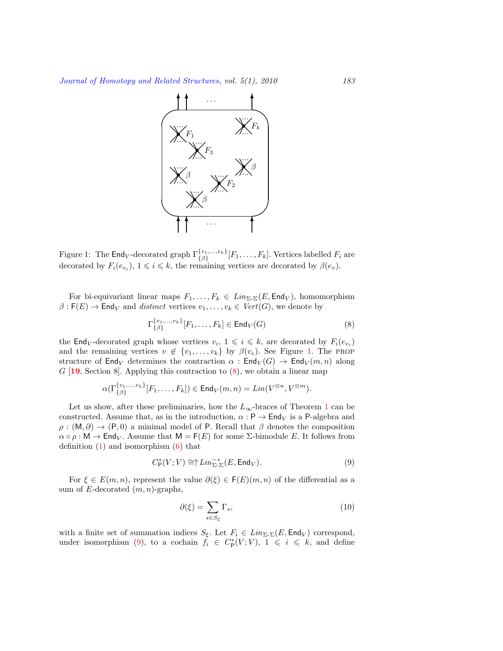

<span id="page-6-0"></span>Figure 1: The  $\mathsf{End}_V$ -decorated graph  $\Gamma_{\{\beta\}}^{\{v_1,\dots,v_k\}}[F_1,\dots,F_k]$ . Vertices labelled  $F_i$  are decorated by  $F_i(e_{v_i}), 1 \leq i \leq k$ , the remaining vertices are decorated by  $\beta(e_v)$ .

For bi-equivariant linear maps  $F_1, \ldots, F_k \in Lin_{\Sigma_{\Sigma}}(E, \text{End}_V)$ , homomorphism  $\beta$ : **F**(*E*)  $\rightarrow$  End<sub>*V*</sub> and *distinct* vertices  $v_1, \dots, v_k \in Vert(G)$ , we denote by

<span id="page-6-1"></span>
$$
\Gamma_{\{\beta\}}^{\{v_1,\ldots,v_k\}}[F_1,\ldots,F_k] \in \mathsf{End}_V(G)
$$
\n(8)

the  $\textsf{End}_{V}$ -decorated graph whose vertices  $v_i, 1 \leq i \leq k$ , are decorated by  $F_i(e_{v_i})$ and the remaining vertices  $v \notin \{v_1, \ldots, v_k\}$  $v \notin \{v_1, \ldots, v_k\}$  $v \notin \{v_1, \ldots, v_k\}$  by  $\beta(v_e)$ . See Figure 1. The PROP structure of End<sub>V</sub> determines the contraction  $\alpha$ : End<sub>V</sub>(*G*)  $\rightarrow$  End<sub>V</sub>(*m, n*) along *G* [**[19](#page-34-3)**, Section 8]. Applying this contraction to [\(8](#page-6-1)), we obtain a linear map

$$
\alpha(\Gamma_{\{\beta\}}^{\{v_1,\ldots,v_k\}}[F_1,\ldots,F_k])\in \mathsf{End}_V(m,n)=\mathit{Lin}(V^{\otimes n},V^{\otimes m}).
$$

Let us show, after these preliminaries, how the  $L_{\infty}$ -braces of Theorem [1](#page-2-0) can be constructed. Assume that, as in the introduction,  $\alpha$ : P  $\rightarrow$  End<sub>V</sub> is a P-algebra and  $\rho$  : (M,  $\partial$ )  $\rightarrow$  (P, 0) a minimal model of P. Recall that  $\beta$  denotes the composition  $\alpha \circ \rho : \mathsf{M} \to \mathsf{End}_V$ . Assume that  $\mathsf{M} = \mathsf{F}(E)$  for some  $\Sigma$ -bimodule *E*. It follows from definition $(1)$  and isomorphism  $(6)$  $(6)$  that

<span id="page-6-2"></span>
$$
C_{\mathsf{P}}^*(V;V) \cong \uparrow Lin_{\Sigma_{\mathsf{P}}^*}^{-*}(E,\mathsf{End}_V). \tag{9}
$$

For  $\xi \in E(m, n)$ , represent the value  $\partial(\xi) \in F(E)(m, n)$  of the differential as a sum of *E*-decorated (*m, n*)-graphs,

<span id="page-6-3"></span>
$$
\partial(\xi) = \sum_{s \in S_{\xi}} \Gamma_s,\tag{10}
$$

with a finite set of summation indices  $S_{\xi}$ . Let  $F_i \in Lin_{\Sigma^{\Sigma}}(E, \text{End}_V)$  correspond, underisomorphism ([9\)](#page-6-2), to a cochain  $f_i \in C^*_{\mathsf{P}}(V;V)$ ,  $1 \leqslant i \leqslant k$ , and define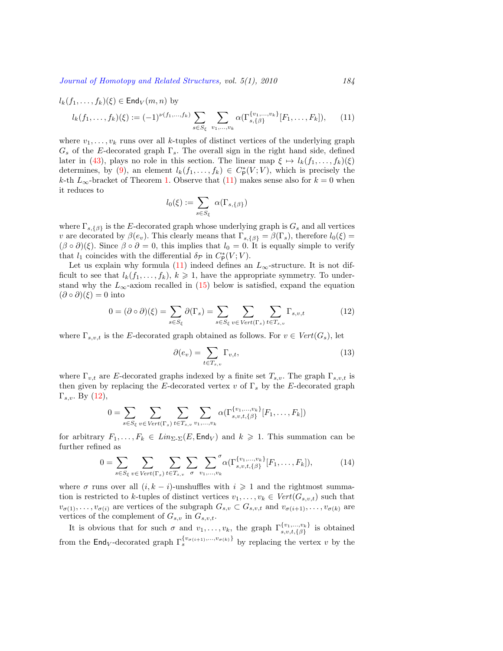<span id="page-7-0"></span>
$$
l_k(f_1, ..., f_k)(\xi) \in \text{End}_V(m, n) \text{ by}
$$
  

$$
l_k(f_1, ..., f_k)(\xi) := (-1)^{\nu(f_1, ..., f_k)} \sum_{s \in S_{\xi}} \sum_{v_1, ..., v_k} \alpha(\Gamma_{s, \{\beta\}}^{\{v_1, ..., v_k\}}[F_1, ..., F_k]),
$$
 (11)

where  $v_1, \ldots, v_k$  runs over all *k*-tuples of distinct vertices of the underlying graph *G<sup>s</sup>* of the *E*-decorated graph Γ*s*. The overall sign in the right hand side, defined laterin ([43\)](#page-15-1), plays no role in this section. The linear map  $\xi \mapsto l_k(f_1, \ldots, f_k)(\xi)$ determines, by [\(9](#page-6-2)), an element  $l_k(f_1, \ldots, f_k) \in C^*_{\mathsf{P}}(V; V)$ , which is precisely the *k*-th $L_{\infty}$ -bracket of Theorem [1](#page-2-0). Observe that ([11\)](#page-7-0) makes sense also for  $k = 0$  when it reduces to

$$
l_0(\xi):=\sum_{s\in S_\xi}\ \alpha(\Gamma_{s,\{\beta\}})
$$

where  $\Gamma_{s,\{\beta\}}$  is the *E*-decorated graph whose underlying graph is  $G_s$  and all vertices *v* are decorated by  $\beta(e_v)$ . This clearly means that  $\Gamma_{s,\{\beta\}} = \beta(\Gamma_s)$ , therefore  $l_0(\xi) =$  $(\beta \circ \partial)(\xi)$ . Since  $\beta \circ \partial = 0$ , this implies that  $l_0 = 0$ . It is equally simple to verify that  $l_1$  coincides with the differential  $\delta \rho$  in  $C^*_{\mathsf{P}}(V; V)$ .

Let us explain why formula [\(11](#page-7-0)) indeed defines an  $L_{\infty}$ -structure. It is not difficult to see that  $l_k(f_1, \ldots, f_k)$ ,  $k \geq 1$ , have the appropriate symmetry. To understandwhy the  $L_{\infty}$ -axiom recalled in ([15\)](#page-8-0) below is satisfied, expand the equation  $(\partial \circ \partial)(\xi) = 0$  into

<span id="page-7-1"></span>
$$
0 = (\partial \circ \partial)(\xi) = \sum_{s \in S_{\xi}} \partial(\Gamma_s) = \sum_{s \in S_{\xi}} \sum_{v \in Vert(\Gamma_s)} \sum_{t \in T_{s,v}} \Gamma_{s,v,t}
$$
(12)

where  $\Gamma_{s,v,t}$  is the *E*-decorated graph obtained as follows. For  $v \in Vert(G_s)$ , let

<span id="page-7-3"></span>
$$
\partial(e_v) = \sum_{t \in T_{s,v}} \Gamma_{v,t},\tag{13}
$$

where  $\Gamma_{v,t}$  are *E*-decorated graphs indexed by a finite set  $T_{s,v}$ . The graph  $\Gamma_{s,v,t}$  is then given by replacing the *E*-decorated vertex  $v$  of  $\Gamma_s$  by the *E*-decorated graph Γ*s,v*. By([12\)](#page-7-1),

$$
0 = \sum_{s \in S_{\xi}} \sum_{v \in Vert(\Gamma_s)} \sum_{t \in T_{s,v}} \sum_{v_1, \dots, v_k} \alpha(\Gamma_{s,v,t,\{\beta\}}^{\{v_1, \dots, v_k\}}[F_1, \dots, F_k])
$$

for arbitrary  $F_1, \ldots, F_k \in Lin_{\Sigma_{\Sigma}}(E, \text{End}_V)$  and  $k \geq 1$ . This summation can be further refined as

<span id="page-7-2"></span>
$$
0 = \sum_{s \in S_{\xi}} \sum_{v \in Vert(\Gamma_s)} \sum_{t \in T_{s,v}} \sum_{\sigma} \sum_{v_1, \dots, v_k} {\sigma}(\Gamma_{s,v,t,\{\beta\}}^{\{v_1, \dots, v_k\}} [F_1, \dots, F_k]), \tag{14}
$$

where  $\sigma$  runs over all  $(i, k - i)$ -unshuffles with  $i \geq 1$  and the rightmost summation is restricted to *k*-tuples of distinct vertices  $v_1, \ldots, v_k \in Vert(G_{s,v,t})$  such that  $v_{\sigma(1)}, \ldots, v_{\sigma(i)}$  are vertices of the subgraph  $G_{s,v} \subset G_{s,v,t}$  and  $v_{\sigma(i+1)}, \ldots, v_{\sigma(k)}$  are vertices of the complement of  $G_{s,v}$  in  $G_{s,v,t}$ .

It is obvious that for such  $\sigma$  and  $v_1, \ldots, v_k$ , the graph  $\Gamma_{s,v,t,\{\beta\}}^{\{v_1,\ldots,v_k\}}$  is obtained from the  $\textsf{End}_{V}$ -decorated graph  $\Gamma_{s}^{\{v_{\sigma(i+1)},...,v_{\sigma(k)}\}}$  by replacing the vertex *v* by the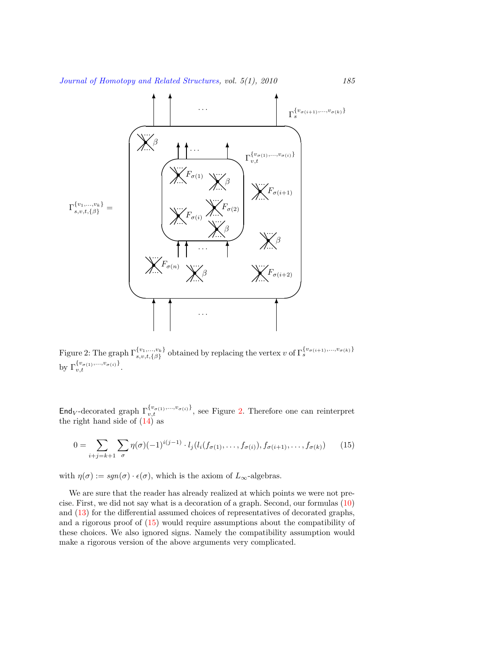

<span id="page-8-1"></span>Figure 2: The graph  $\Gamma_{s,v,t,\{\beta\}}^{\{v_1,\dots,v_k\}}$  obtained by replacing the vertex v of  $\Gamma_{s}^{\{v_{\sigma(i+1)},...,v_{\sigma(k)\}}}$ by  $\Gamma_{v,t}^{\{v_{\sigma(1)},...,v_{\sigma(i)}\}}$ .

End<sub>*V*</sub>-decorated graph  $\Gamma_{v,t}^{\{v_{\sigma(1)},...,v_{\sigma(i)}\}}$ , see Figure [2](#page-8-1). Therefore one can reinterpret the right hand side of [\(14](#page-7-2)) as

<span id="page-8-0"></span>
$$
0 = \sum_{i+j=k+1} \sum_{\sigma} \eta(\sigma)(-1)^{i(j-1)} \cdot l_j(l_i(f_{\sigma(1)}, \dots, f_{\sigma(i)}), f_{\sigma(i+1)}, \dots, f_{\sigma(k)}) \tag{15}
$$

with  $\eta(\sigma) := \text{sgn}(\sigma) \cdot \epsilon(\sigma)$ , which is the axiom of  $L_{\infty}$ -algebras.

We are sure that the reader has already realized at which points we were not precise. First, we did not say what is a decoration of a graph. Second, our formulas [\(10](#page-6-3)) and([13\)](#page-7-3) for the differential assumed choices of representatives of decorated graphs, and a rigorous proof of [\(15\)](#page-8-0) would require assumptions about the compatibility of these choices. We also ignored signs. Namely the compatibility assumption would make a rigorous version of the above arguments very complicated.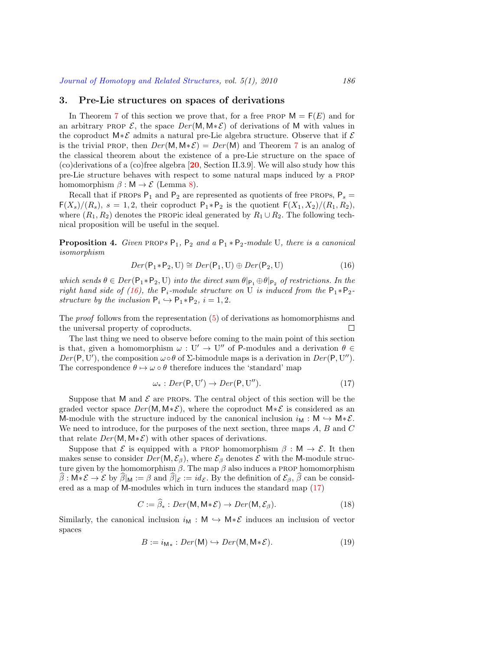### <span id="page-9-0"></span>**3. Pre-Lie structures on spaces of derivations**

In Theorem [7](#page-11-0) of this section we prove that, for a free PROP  $M = F(E)$  and for an arbitrary PROP  $\mathcal{E}$ , the space  $Der(M, M * \mathcal{E})$  of derivations of M with values in the coproduct M*∗E* admits a natural pre-Lie algebra structure. Observe that if *E* is the trivial PROP, then  $Der(M, M * \mathcal{E}) = Der(M)$  and Theorem [7](#page-11-0) is an analog of the classical theorem about the existence of a pre-Lie structure on the space of (co)derivations of a (co)free algebra [**[20](#page-34-4)**, Section II.3.9]. We will also study how this pre-Lie structure behaves with respect to some natural maps induced by a prop homomorphism  $\beta : M \to \mathcal{E}$  (Lemma [8\)](#page-12-1).

Recall that if PROPs  $P_1$  and  $P_2$  are represented as quotients of free PROPs,  $P_s$  =  $F(X_s)/(R_s)$ ,  $s = 1, 2$ , their coproduct  $P_1 * P_2$  is the quotient  $F(X_1, X_2)/(R_1, R_2)$ , where  $(R_1, R_2)$  denotes the PROPic ideal generated by  $R_1 \cup R_2$ . The following technical proposition will be useful in the sequel.

<span id="page-9-4"></span>**Proposition 4.** *Given* PROP*s*  $P_1$ ,  $P_2$  *and a*  $P_1 * P_2$ *-module* U*, there is a canonical isomorphism*

<span id="page-9-1"></span>
$$
Der(\mathsf{P}_1 * \mathsf{P}_2, \mathbf{U}) \cong Der(\mathsf{P}_1, \mathbf{U}) \oplus Der(\mathsf{P}_2, \mathbf{U})
$$
\n
$$
(16)
$$

*which sends*  $\theta \in Der(\mathsf{P}_1 * \mathsf{P}_2, \mathsf{U})$  *into the direct sum*  $\theta|_{\mathsf{P}_1} \oplus \theta|_{\mathsf{P}_2}$  *of restrictions. In the right hand side of ([16](#page-9-1)), the*  $P_i$ *-module structure on* U *is induced from the*  $P_1 * P_2$ *structure by the inclusion*  $P_i \hookrightarrow P_1 * P_2$ ,  $i = 1, 2$ .

The *proof* follows from the representation [\(5](#page-5-2)) of derivations as homomorphisms and the universal property of coproducts.  $\Box$ 

The last thing we need to observe before coming to the main point of this section is that, given a homomorphism  $\omega : U' \to U''$  of P-modules and a derivation  $\theta \in$  $Der(P, U')$ , the composition  $\omega \circ \theta$  of  $\Sigma$ -bimodule maps is a derivation in  $Der(P, U'')$ . The correspondence  $\theta \mapsto \omega \circ \theta$  therefore induces the 'standard' map

<span id="page-9-2"></span>
$$
\omega_*: Der(P, U') \to Der(P, U'').
$$
\n(17)

Suppose that M and  $\mathcal E$  are PROPs. The central object of this section will be the graded vector space  $Der(M, M * \mathcal{E})$ , where the coproduct  $M * \mathcal{E}$  is considered as an M-module with the structure induced by the canonical inclusion  $i_M : M \hookrightarrow M * \mathcal{E}$ . We need to introduce, for the purposes of the next section, three maps *A*, *B* and *C* that relate  $Der(M, M * \mathcal{E})$  with other spaces of derivations.

Suppose that  $\mathcal{E}$  is equipped with a PROP homomorphism  $\beta : M \to \mathcal{E}$ . It then makes sense to consider  $Der(M, \mathcal{E}_{\beta})$ , where  $\mathcal{E}_{\beta}$  denotes  $\mathcal E$  with the M-module structure given by the homomorphism *β*. The map *β* also induces a prop homomorphism  $\beta : \mathsf{M} * \mathcal{E} \to \mathcal{E}$  by  $\beta|_{\mathsf{M}} := \beta$  and  $\beta|_{\mathcal{E}} := id_{\mathcal{E}}$ . By the definition of  $\mathcal{E}_{\beta}, \beta$  can be considered as a map of M-modules which in turn induces the standard map [\(17](#page-9-2))

<span id="page-9-3"></span>
$$
C := \beta_* : Der(M, M * \mathcal{E}) \to Der(M, \mathcal{E}_{\beta}). \tag{18}
$$

Similarly, the canonical inclusion  $i_M : M \hookrightarrow M * \mathcal{E}$  induces an inclusion of vector spaces

<span id="page-9-5"></span>
$$
B := i_{\mathsf{M}_{*}} : Der(\mathsf{M}) \hookrightarrow Der(\mathsf{M}, \mathsf{M}_{*}\mathcal{E}).
$$
\n(19)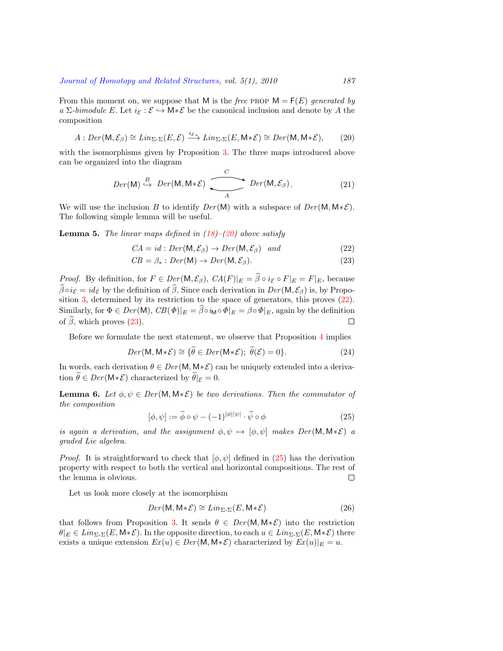From this moment on, we suppose that M is the *free* PROP  $M = F(E)$  *generated by a*  $\Sigma$ *-bimodule E*. Let  $i_{\mathcal{E}} : \mathcal{E} \hookrightarrow M * \mathcal{E}$  be the canonical inclusion and denote by *A* the composition

<span id="page-10-0"></span>
$$
A: Der(\mathsf{M}, \mathcal{E}_{\beta}) \cong Lin_{\Sigma_{\gamma}}(E, \mathcal{E}) \xrightarrow{i_{\mathcal{E}_{*}}} Lin_{\Sigma_{\gamma}}(E, \mathsf{M} * \mathcal{E}) \cong Der(\mathsf{M}, \mathsf{M} * \mathcal{E}),\tag{20}
$$

with the isomorphisms given by Proposition [3](#page-5-4). The three maps introduced above can be organized into the diagram

$$
Der(M) \stackrel{B}{\hookrightarrow} Der(M, M * \mathcal{E}) \underbrace{\overbrace{\phantom{Big(}\qquad \qquad}}^{C} Der(M, \mathcal{E}_{\beta}). \tag{21}
$$

We will use the inclusion *B* to identify  $Der(M)$  with a subspace of  $Der(M, M * \mathcal{E})$ . The following simple lemma will be useful.

<span id="page-10-3"></span>**Lemma 5.** *The linear maps defined in ([18](#page-9-3))–[\(20](#page-10-0)) above satisfy*

<span id="page-10-1"></span>
$$
CA = id : Der(M, \mathcal{E}_{\beta}) \to Der(M, \mathcal{E}_{\beta}) \quad and \tag{22}
$$

$$
CB = \beta_* : Der(M) \to Der(M, \mathcal{E}_{\beta}). \tag{23}
$$

*Proof.* By definition, for  $F \in Der(\mathsf{M}, \mathcal{E}_{\beta})$ ,  $CA(F)|_E = \widehat{\beta} \circ i_{\mathcal{E}} \circ F|_E = F|_E$ , because  $\widehat{\beta} \circ i_{\mathcal{E}} = id_{\mathcal{E}}$  by the definition of  $\widehat{\beta}$ . Since each derivation in  $Der(M, \mathcal{E}_{\beta})$  is, by Proposition [3,](#page-5-4) determined by its restriction to the space of generators, this proves [\(22](#page-10-1)). Similarly, for  $\Phi \in Der(\mathsf{M})$ ,  $CB(\Phi)|_E = \widehat{\beta} \circ i_{\mathsf{M}} \circ \Phi|_E = \beta \circ \Phi|_E$ , again by the definition of  $\widehat{\beta}$ , which proves (23). of $\hat{\beta}$ , which proves ([23\)](#page-10-1).

Before we formulate the next statement, we observe that Proposition [4](#page-9-4) implies

$$
Der(\mathsf{M}, \mathsf{M} * \mathcal{E}) \cong \{ \widetilde{\theta} \in Der(\mathsf{M} * \mathcal{E}); \ \widetilde{\theta}(\mathcal{E}) = 0 \}.
$$
 (24)

In words, each derivation  $\theta \in Der(M, M * \mathcal{E})$  can be uniquely extended into a derivation  $\widetilde{\theta} \in Der(\mathsf{M} * \mathcal{E})$  characterized by  $\widetilde{\theta}|_{\mathcal{E}} = 0$ .

**Lemma 6.** *Let*  $\phi, \psi \in Der(M, M * \mathcal{E})$  *be two derivations. Then the commutator of the composition*

<span id="page-10-2"></span>
$$
[\phi, \psi] := \widetilde{\phi} \circ \psi - (-1)^{|\phi||\psi|} \cdot \widetilde{\psi} \circ \phi \tag{25}
$$

*is again a derivation, and the assignment*  $\phi, \psi \mapsto [\phi, \psi]$  makes  $Der(M, M * \mathcal{E})$  *a graded Lie algebra.*

*Proof.* It is straightforward to check that  $[\phi, \psi]$  defined in [\(25](#page-10-2)) has the derivation property with respect to both the vertical and horizontal compositions. The rest of the lemma is obvious.  $\Box$ 

Let us look more closely at the isomorphism

$$
Der(\mathsf{M}, \mathsf{M} * \mathcal{E}) \cong Lin_{\Sigma_{\tau}}(E, \mathsf{M} * \mathcal{E})
$$
\n(26)

that follows from Proposition [3.](#page-5-4) It sends  $\theta \in Der(M, M * \mathcal{E})$  into the restriction  $\theta|_E \in Lin_{\Sigma_{\tau}}(E, \mathsf{M} * \mathcal{E})$ . In the opposite direction, to each  $u \in Lin_{\Sigma_{\tau}}(E, \mathsf{M} * \mathcal{E})$  there exists a unique extension  $Ex(u) \in Der(M, M * \mathcal{E})$  characterized by  $Ex(u)|_E = u$ .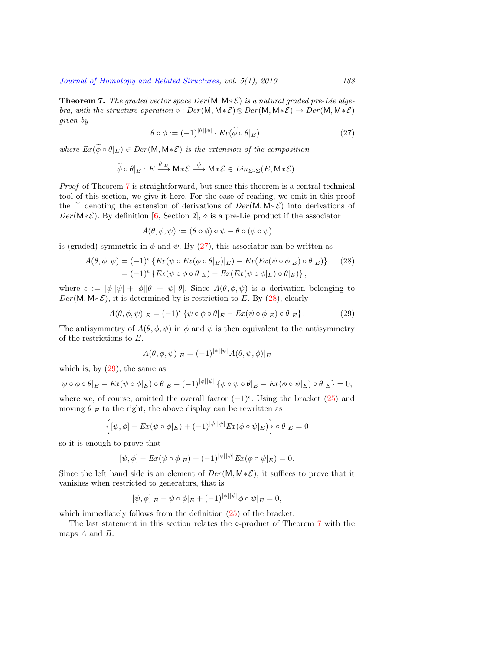<span id="page-11-0"></span>**Theorem 7.** *The graded vector space Der* (M*,* M*∗E*) *is a natural graded pre-Lie algebra, with the structure operation*  $\diamond$  :  $Der(M, M * \mathcal{E}) \otimes Der(M, M * \mathcal{E}) \rightarrow Der(M, M * \mathcal{E})$ *given by*

<span id="page-11-1"></span>
$$
\theta \diamond \phi := (-1)^{|\theta||\phi|} \cdot Ex(\widetilde{\phi} \circ \theta|_E), \tag{27}
$$

*where*  $Ex(\widetilde{\phi} \circ \theta|_E) \in Der(M, M * \mathcal{E})$  *is the extension of the composition* 

$$
\widetilde{\phi} \circ \theta|_E : E \xrightarrow{\theta|_E} \mathsf{M} * \mathcal{E} \xrightarrow{\phi} \mathsf{M} * \mathcal{E} \in \mathit{Lin}_{\Sigma \cdot \Sigma}(E, \mathsf{M} * \mathcal{E}).
$$

*Proof* of Theorem [7](#page-11-0) is straightforward, but since this theorem is a central technical tool of this section, we give it here. For the ease of reading, we omit in this proof the  $\tilde{e}$  denoting the extension of derivations of *Der* (M, M $*\mathcal{E}$ ) into derivations of  $Der(M * \mathcal{E})$ . By definition [[6](#page-33-0), Section 2],  $\diamond$  is a pre-Lie product if the associator

$$
A(\theta, \phi, \psi) := (\theta \diamond \phi) \diamond \psi - \theta \diamond (\phi \diamond \psi)
$$

is(graded) symmetric in  $\phi$  and  $\psi$ . By ([27\)](#page-11-1), this associator can be written as

<span id="page-11-2"></span>
$$
A(\theta, \phi, \psi) = (-1)^{\epsilon} \left\{ Ex(\psi \circ Ex(\phi \circ \theta|_{E})|_{E}) - Ex(Ex(\psi \circ \phi|_{E}) \circ \theta|_{E}) \right\}
$$
(28)  
=  $(-1)^{\epsilon} \left\{ Ex(\psi \circ \phi \circ \theta|_{E}) - Ex(Ex(\psi \circ \phi|_{E}) \circ \theta|_{E}) \right\},$ 

where  $\epsilon := |\phi||\psi| + |\phi||\theta|$ . Since  $A(\theta, \phi, \psi)$  is a derivation belonging to  $Der(M, M * \mathcal{E})$ , it is determined by is restriction to *E*. By [\(28\)](#page-11-2), clearly

<span id="page-11-3"></span>
$$
A(\theta, \phi, \psi)|_E = (-1)^{\epsilon} \left\{ \psi \circ \phi \circ \theta|_E - Ex(\psi \circ \phi|_E) \circ \theta|_E \right\}.
$$
 (29)

The antisymmetry of  $A(\theta, \phi, \psi)$  in  $\phi$  and  $\psi$  is then equivalent to the antisymmetry of the restrictions to *E*,

$$
A(\theta, \phi, \psi)|_E = (-1)^{|\phi||\psi|} A(\theta, \psi, \phi)|_E
$$

which is, by  $(29)$ , the same as

$$
\psi \circ \phi \circ \theta|_E - Ex(\psi \circ \phi|_E) \circ \theta|_E - (-1)^{|\phi||\psi|} \{ \phi \circ \psi \circ \theta|_E - Ex(\phi \circ \psi|_E) \circ \theta|_E \} = 0,
$$

where we, of course, omitted the overall factor  $(-1)^{\epsilon}$ . Using the bracket [\(25](#page-10-2)) and moving  $\theta|_E$  to the right, the above display can be rewritten as

$$
\left\{ [\psi, \phi] - \mathop{\text{Ex}}\nolimits(\psi \circ \phi|_E) + (-1)^{|\phi||\psi|} \mathop{\text{Ex}}\nolimits(\phi \circ \psi|_E) \right\} \circ \theta|_E = 0
$$

so it is enough to prove that

$$
[\psi, \phi] - Ex(\psi \circ \phi|_E) + (-1)^{|\phi||\psi|} Ex(\phi \circ \psi|_E) = 0.
$$

Since the left hand side is an element of *Der* (M*,* M*∗E*), it suffices to prove that it vanishes when restricted to generators, that is

$$
[\psi, \phi]|_{E} - \psi \circ \phi|_{E} + (-1)^{|\phi||\psi|} \phi \circ \psi|_{E} = 0,
$$

whichimmediately follows from the definition  $(25)$  $(25)$  of the bracket.

The last statement in this section relates the *⋄*-product of Theorem [7](#page-11-0) with the maps *A* and *B*.

 $\Box$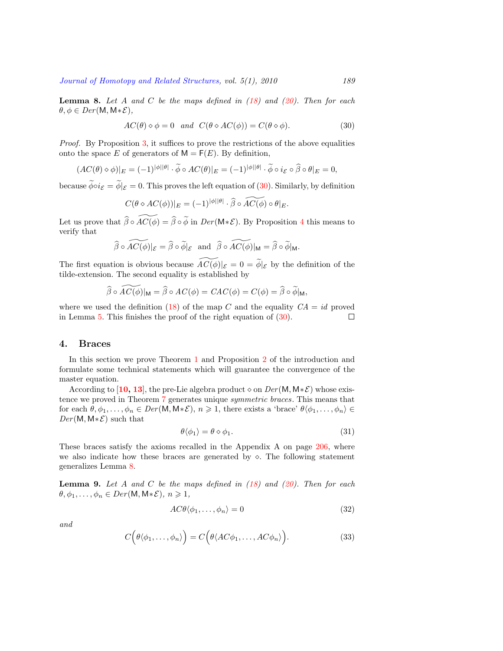<span id="page-12-1"></span>**Lemma 8.** *Let A and C be the maps defined in [\(18](#page-9-3)) and ([20](#page-10-0)). Then for each*  $\theta, \phi \in Der(M, M * \mathcal{E}),$ 

<span id="page-12-2"></span>
$$
AC(\theta) \diamond \phi = 0 \quad and \quad C(\theta \diamond AC(\phi)) = C(\theta \diamond \phi). \tag{30}
$$

*Proof.* By Proposition [3](#page-5-4), it suffices to prove the restrictions of the above equalities onto the space *E* of generators of  $M = F(E)$ . By definition,

$$
(AC(\theta) \diamond \phi)|_E = (-1)^{|\phi||\theta|} \cdot \widetilde{\phi} \circ AC(\theta)|_E = (-1)^{|\phi||\theta|} \cdot \widetilde{\phi} \circ i_{\mathcal{E}} \circ \widehat{\beta} \circ \theta|_E = 0,
$$

because  $\widetilde{\phi} \circ i_{\mathcal{E}} = \widetilde{\phi}|_{\mathcal{E}} = 0$ . This proves the left equation of [\(30](#page-12-2)). Similarly, by definition

$$
C(\theta \diamond AC(\phi))|_E = (-1)^{|\phi||\theta|} \cdot \widehat{\beta} \circ AC(\phi) \circ \theta|_E.
$$

Let us prove that  $\widehat{\beta} \circ \widetilde{AC}(\phi) = \widehat{\beta} \circ \widetilde{\phi}$  in  $Der(M * \mathcal{E})$ . By Proposition [4](#page-9-4) this means to verify that

$$
\widehat{\beta}\circ\widetilde{AC(\phi)}|_{\mathcal{E}}=\widehat{\beta}\circ\widetilde{\phi}|_{\mathcal{E}} \text{ and } \widehat{\beta}\circ\widetilde{AC(\phi)}|_{\mathsf{M}}=\widehat{\beta}\circ\widetilde{\phi}|_{\mathsf{M}}.
$$

The first equation is obvious because  $\widetilde{AC(\phi)}|_{\mathcal{E}} = 0 = \widetilde{\phi}|_{\mathcal{E}}$  by the definition of the tilde-extension. The second equality is established by

$$
\widehat{\beta} \circ \widetilde{AC(\phi)}|_{\mathsf{M}} = \widehat{\beta} \circ AC(\phi) = CAC(\phi) = C(\phi) = \widehat{\beta} \circ \widetilde{\phi}|_{\mathsf{M}},
$$

where we used the definition [\(18](#page-9-3)) of the map *C* and the equality  $CA = id$  proved in Lemma [5](#page-10-3). This finishes the proof of the right equation of([30\)](#page-12-2).  $\Box$ 

# <span id="page-12-0"></span>**4. Braces**

In this section we prove Theorem [1](#page-2-0) and Proposition [2](#page-2-1) of the introduction and formulate some technical statements which will guarantee the convergence of the master equation.

According to [[10,](#page-34-14) [13](#page-34-15)], the pre-Lie algebra product  $\diamond$  on  $Der(M, M * \mathcal{E})$  whose existence we proved in Theorem [7](#page-11-0) generates unique *symmetric braces*. This means that for each  $\theta, \phi_1, \ldots, \phi_n \in Der(M, M * \mathcal{E}), n \geq 1$ , there exists a 'brace'  $\theta(\phi_1, \ldots, \phi_n) \in$ *Der* (M*,* M*∗E*) such that

<span id="page-12-4"></span>
$$
\theta \langle \phi_1 \rangle = \theta \diamond \phi_1. \tag{31}
$$

These braces satisfy the axioms recalled in the Appendix A on page [206](#page-29-0), where we also indicate how these braces are generated by  $\diamond$ . The following statement generalizes Lemma [8](#page-12-1).

<span id="page-12-6"></span>**Lemma 9.** *Let A and C be the maps defined in [\(18](#page-9-3)) and ([20](#page-10-0)). Then for each*  $\theta, \phi_1, \ldots, \phi_n \in Der(M, M * \mathcal{E}), n \geq 1,$ 

<span id="page-12-3"></span>
$$
AC\theta \langle \phi_1, \dots, \phi_n \rangle = 0 \tag{32}
$$

*and*

<span id="page-12-5"></span>
$$
C(\theta \langle \phi_1, \dots, \phi_n \rangle) = C(\theta \langle AC\phi_1, \dots, AC\phi_n \rangle).
$$
 (33)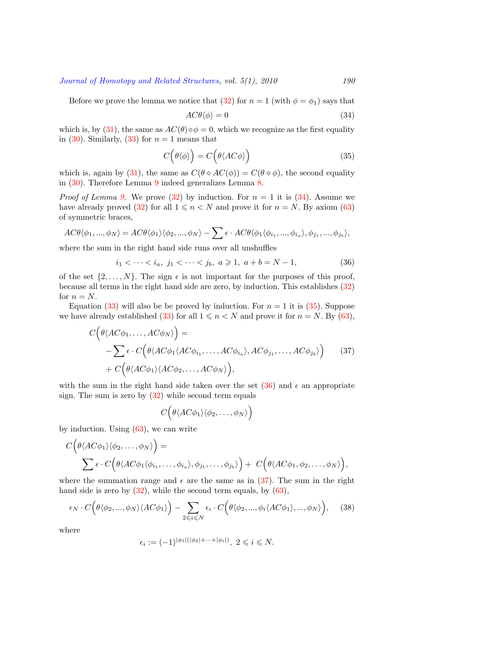Beforewe prove the lemma we notice that  $(32)$  $(32)$  for  $n = 1$  (with  $\phi = \phi_1$ ) says that

<span id="page-13-0"></span>
$$
AC\theta \langle \phi \rangle = 0 \tag{34}
$$

which is, by [\(31\)](#page-12-4), the same as  $AC(\theta) \diamond \phi = 0$ , which we recognize as the first equality in $(30)$ . Similarly,  $(33)$  $(33)$  for  $n = 1$  means that

<span id="page-13-1"></span>
$$
C(\theta \langle \phi \rangle) = C(\theta \langle AC\phi \rangle) \tag{35}
$$

which is, again by [\(31](#page-12-4)), the same as  $C(\theta \circ AC(\phi)) = C(\theta \circ \phi)$ , the second equality in [\(30](#page-12-2)). Therefore Lemma [9](#page-12-6) indeed generalizes Lemma [8](#page-12-1).

*Proof of Lemma [9.](#page-12-6)*We prove ([32\)](#page-12-3) by induction. For  $n = 1$  it is ([34\)](#page-13-0). Assume we have already proved [\(32](#page-12-3)) for all  $1 \le n \le N$  and prove it for  $n = N$ . By axiom [\(63](#page-29-1)) of symmetric braces,

$$
AC\theta \langle \phi_1, ..., \phi_N \rangle = AC\theta \langle \phi_1 \rangle \langle \phi_2, ..., \phi_N \rangle - \sum \epsilon \cdot AC\theta \langle \phi_1 \langle \phi_{i_1}, ..., \phi_{i_a} \rangle, \phi_{j_1}, ..., \phi_{j_b} \rangle,
$$

where the sum in the right hand side runs over all unshuffles

<span id="page-13-2"></span>
$$
i_1 < \cdots < i_a, \ j_1 < \cdots < j_b, \ a \geqslant 1, \ a + b = N - 1,\tag{36}
$$

of the set  $\{2, \ldots, N\}$ . The sign  $\epsilon$  is not important for the purposes of this proof, because all terms in the right hand side are zero, by induction. This establishes [\(32](#page-12-3)) for  $n = N$ .

Equation([33\)](#page-12-5) will also be be proved by induction. For  $n = 1$  it is [\(35](#page-13-1)). Suppose we have already established [\(33\)](#page-12-5) for all  $1 \le n \le N$  and prove it for  $n = N$ . By [\(63](#page-29-1)),

<span id="page-13-3"></span>
$$
C(\theta \langle AC\phi_1, \dots, AC\phi_N \rangle) =
$$
  
-  $\sum \epsilon \cdot C(\theta \langle AC\phi_1 \langle AC\phi_{i_1}, \dots, AC\phi_{i_a} \rangle, AC\phi_{j_1}, \dots, AC\phi_{j_b} \rangle)$  (37)  
+  $C(\theta \langle AC\phi_1 \rangle \langle AC\phi_2, \dots, AC\phi_N \rangle),$ 

withthe sum in the right hand side taken over the set  $(36)$  $(36)$  and  $\epsilon$  an appropriate sign.The sum is zero by  $(32)$  $(32)$  while second term equals

$$
C(\theta \langle AC\phi_1\rangle \langle \phi_2,\ldots,\phi_N\rangle)
$$

byinduction. Using  $(63)$  $(63)$ , we can write

$$
C(\theta \langle AC\phi_1 \rangle \langle \phi_2, \dots, \phi_N \rangle) =
$$
  

$$
\sum \epsilon \cdot C(\theta \langle AC\phi_1 \langle \phi_{i_1}, \dots, \phi_{i_a} \rangle, \phi_{j_1}, \dots, \phi_{j_b} \rangle) + C(\theta \langle AC\phi_1, \phi_2, \dots, \phi_N \rangle)
$$

*,*

where the summation range and  $\epsilon$  are the same as in [\(37](#page-13-3)). The sum in the right handside is zero by  $(32)$  $(32)$ , while the second term equals, by  $(63)$ ,

<span id="page-13-4"></span>
$$
\epsilon_N \cdot C\Big(\theta\langle \phi_2, ..., \phi_N\rangle \langle AC\phi_1\rangle\Big) - \sum_{2 \leq i \leq N} \epsilon_i \cdot C\Big(\theta\langle \phi_2, ..., \phi_i \langle AC\phi_1\rangle, ..., \phi_N\rangle\Big),\tag{38}
$$

where

$$
\epsilon_i := (-1)^{|\phi_1|(|\phi_2| + \dots + |\phi_i|)}, \ 2 \leq i \leq N.
$$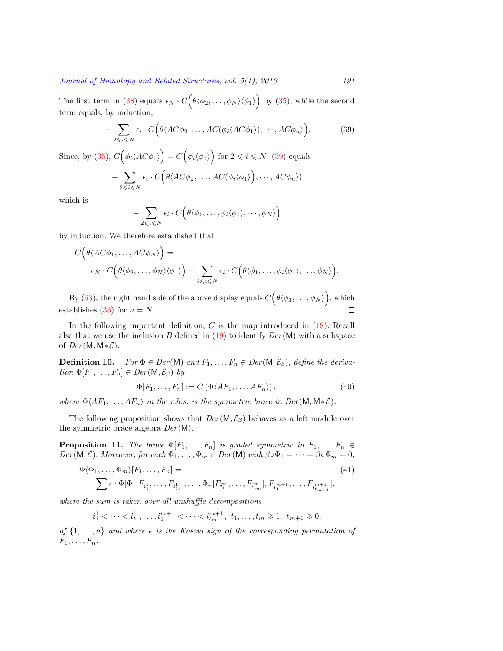The first term in [\(38](#page-13-4)) equals  $\epsilon_N \cdot C(\theta \langle \phi_2, \ldots, \phi_N \rangle \langle \phi_1 \rangle)$  by [\(35](#page-13-1)), while the second term equals, by induction,

<span id="page-14-0"></span>
$$
- \sum_{2 \leq i \leq N} \epsilon_i \cdot C\Big(\theta \langle AC\phi_2, \dots, AC(\phi_i \langle AC\phi_1 \rangle), \dots, AC\phi_n \rangle\Big). \tag{39}
$$

Since, by [\(35](#page-13-1)), $C(\phi_i \langle AC\phi_1 \rangle) = C(\phi_i \langle \phi_1 \rangle)$  for  $2 \leq i \leq N$ , ([39\)](#page-14-0) equals

$$
- \sum_{2 \leq i \leq N} \epsilon_i \cdot C\Big(\theta \langle AC\phi_2, \dots, AC(\phi_i \langle \phi_1 \rangle), \dots, AC\phi_n \rangle)
$$

which is

$$
- \sum_{2 \leq i \leq N} \epsilon_i \cdot C\Big(\theta\langle \phi_1,\ldots,\phi_i\langle \phi_1\rangle,\cdots,\phi_N\rangle\Big)
$$

by induction. We therefore established that

$$
C\Big(\theta \langle AC\phi_1,\ldots,AC\phi_N\rangle\Big) = \\ \epsilon_N \cdot C\Big(\theta \langle \phi_2,\ldots,\phi_N\rangle \langle \phi_1\rangle\Big) - \sum_{2 \leq i \leq N} \epsilon_i \cdot C\Big(\theta \langle \phi_1,\ldots,\phi_i \langle \phi_1\rangle,\ldots,\phi_N\rangle\Big).
$$

By([63\)](#page-29-1), the right hand side of the above display equals  $C(\theta \langle \phi_1, \ldots, \phi_N \rangle)$ , which establishes [\(33](#page-12-5)) for  $n = N$ .  $\Box$ 

Inthe following important definition,  $C$  is the map introduced in  $(18)$  $(18)$ . Recall also that we use the inclusion *B* defined in [\(19](#page-9-5)) to identify *Der* (M) with a subspace of *Der* (M*,* M*∗E*).

<span id="page-14-3"></span>**Definition 10.** *For*  $\Phi \in Der(\mathsf{M})$  *and*  $F_1, \ldots, F_n \in Der(\mathsf{M}, \mathcal{E}_{\beta})$ *, define the derivation*  $\Phi[F_1, \ldots, F_n] \in Der(\mathsf{M}, \mathcal{E}_{\beta})$  *by* 

<span id="page-14-1"></span>
$$
\Phi[F_1, \dots, F_n] := C \left( \Phi \langle AF_1, \dots, AF_n \rangle \right),\tag{40}
$$

*where*  $\Phi \langle AF_1, \ldots, AF_n \rangle$  *in the r.h.s. is the symmetric brace in Der*(M, M $*\mathcal{E}$ ).

The following proposition shows that  $Der(M, \mathcal{E}_{\beta})$  behaves as a left module over the symmetric brace algebra *Der* (M).

**Proposition 11.** *The brace*  $\Phi[F_1, \ldots, F_n]$  *is graded symmetric in*  $F_1, \ldots, F_n \in$ *Der*( $M, E$ )*. Moreover, for each*  $\Phi_1, \ldots, \Phi_m \in Der(M)$  *with*  $\beta \circ \Phi_1 = \cdots = \beta \circ \Phi_m = 0$ *,* 

<span id="page-14-2"></span>
$$
\Phi\langle\Phi_1,\ldots,\Phi_m\rangle[F_1,\ldots,F_n] =
$$
\n
$$
\sum \epsilon \cdot \Phi[\Phi_1[F_{i_1^1},\ldots,F_{i_{t_1}^1}],\ldots,\Phi_n[F_{i_1^m},\ldots,F_{i_{t_m}^m}],F_{i_1^{m+1}},\ldots,F_{i_{t_{m+1}}^{m+1}}],
$$
\n(41)

*where the sum is taken over all unshuffle decompositions*

$$
i_1^1 < \cdots < i_{t_1}^1, \ldots, i_1^{m+1} < \cdots < i_{t_{m+1}}^{m+1}, t_1, \ldots, t_m \ge 1, t_{m+1} \ge 0,
$$

*of*  $\{1, \ldots, n\}$  *and where*  $\epsilon$  *is the Koszul sign of the corresponding permutation of*  $F_1, \ldots, F_n$ .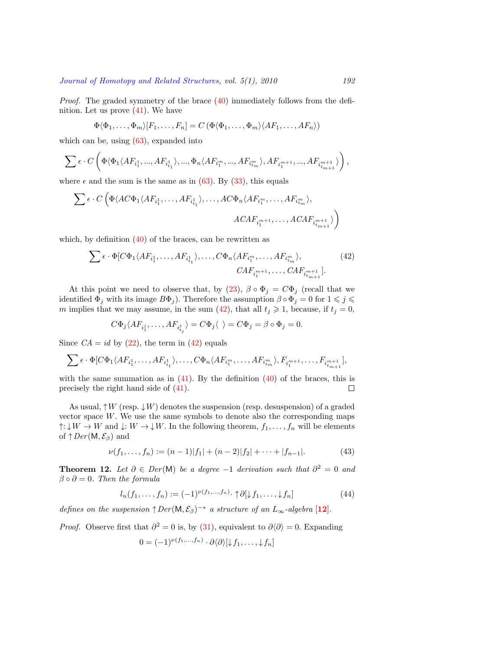*Proof.*The graded symmetry of the brace  $(40)$  $(40)$  $(40)$  immediately follows from the defi-nition.Let us prove  $(41)$  $(41)$ . We have

$$
\Phi\langle\Phi_1,\ldots,\Phi_m\rangle[F_1,\ldots,F_n]=C\left(\Phi\langle\Phi_1,\ldots,\Phi_m\rangle\langle AF_1,\ldots,AF_n\rangle\right)
$$

which can be, using  $(63)$ , expanded into

$$
\sum \epsilon \cdot C \left(\Phi \langle \Phi_1 \langle AF_{i_1^1},...,AF_{i_{t_1}^1} \rangle,...,\Phi_n \langle AF_{i_1^m},...,AF_{i_{t_m}^m} \rangle,AF_{i_1^{m+1}},...,AF_{i_{t_{m+1}}^{m+1}} \rangle\right),
$$

where $\epsilon$  and the sum is the same as in ([63\)](#page-29-1). By [\(33](#page-12-5)), this equals

$$
\sum \epsilon \cdot C\left(\Phi \langle AC\Phi_1 \langle AF_{i_1^1}, \ldots, AF_{i_{t_1}^1} \rangle, \ldots, AC\Phi_n \langle AF_{i_1^m}, \ldots, AF_{i_{t_m}^m} \rangle, \right. \\
\left. \qquad \qquad ACAF_{i_1^{m+1}}, \ldots, ACAF_{i_{t_{m+1}}^{m+1}}) \right)
$$

which, by definition  $(40)$  of the braces, can be rewritten as

<span id="page-15-2"></span>
$$
\sum \epsilon \cdot \Phi[C\Phi_1 \langle AF_{i_1^1}, \dots, AF_{i_{t_1}^1} \rangle, \dots, C\Phi_n \langle AF_{i_1^m}, \dots, AF_{i_{t_m}^m} \rangle, \qquad (42)
$$
  

$$
CAF_{i_1^{m+1}}, \dots, CAF_{i_{t_{m+1}}^{m+1}}].
$$

Atthis point we need to observe that, by  $(23)$  $(23)$ ,  $\beta \circ \Phi_j = C \Phi_j$  (recall that we identified  $\Phi_j$  with its image  $B\Phi_j$ ). Therefore the assumption  $\beta \circ \Phi_j = 0$  for  $1 \leq j \leq j$ *m*implies that we may assume, in the sum ([42\)](#page-15-2), that all  $t_j \geq 1$ , because, if  $t_j = 0$ ,

$$
C\Phi_j\langle AF_{i_1^j},\ldots,AF_{i_{t_j}^j}\rangle=C\Phi_j\langle\ \rangle=C\Phi_j=\beta\circ\Phi_j=0.
$$

Since  $CA = id$  by  $(22)$ , the term in  $(42)$  equals

$$
\sum \epsilon \cdot \Phi[C\Phi_1 \langle AF_{i_1^1}, \ldots, AF_{i_{t_1}^1} \rangle, \ldots, C\Phi_n \langle AF_{i_1^m}, \ldots, AF_{i_{t_m}^m} \rangle, F_{i_1^{m+1}}, \ldots, F_{i_{t_{m+1}}^{m+1}}],
$$

withthe same summation as in  $(41)$ . By the definition  $(40)$  $(40)$  of the braces, this is precisely the right hand side of [\(41](#page-14-2)).  $\Box$ 

As usual, *↑W* (resp. *↓W*) denotes the suspension (resp. desuspension) of a graded vector space  $W$ . We use the same symbols to denote also the corresponding maps *↑*:  $\downarrow$ *W* → *W* and  $\downarrow$ : *W* →  $\downarrow$ *W*. In the following theorem, *f*<sub>1</sub>, . . . , *f*<sub>n</sub> will be elements of  $\uparrow$  *Der*(M,  $\mathcal{E}_{\beta}$ ) and

<span id="page-15-1"></span>
$$
\nu(f_1, \dots, f_n) := (n-1)|f_1| + (n-2)|f_2| + \dots + |f_{n-1}|.
$$
\n(43)

<span id="page-15-0"></span>**Theorem 12.** Let  $\partial \in Der(M)$  be a degree  $-1$  derivation such that  $\partial^2 = 0$  and  $\beta \circ \partial = 0$ *. Then the formula* 

<span id="page-15-3"></span>
$$
l_n(f_1,\ldots,f_n) := (-1)^{\nu(f_1,\ldots,f_n)} \cdot \uparrow \partial[\downarrow f_1,\ldots,\downarrow f_n]
$$
\n(44)

*defines on the suspension*  $\uparrow$  *Der*( $\mathsf{M}, \mathcal{E}_{\beta}$ )<sup>-\*</sup> *a structure of an*  $L_{\infty}$ -algebra [[12](#page-34-7)]*.* 

*Proof.* Observe first that  $\partial^2 = 0$  is, by [\(31\)](#page-12-4), equivalent to  $\partial \langle \partial \rangle = 0$ . Expanding

$$
0 = (-1)^{\nu(f_1,\ldots,f_n)} \cdot \partial \langle \partial \rangle[\downarrow f_1,\ldots,\downarrow f_n]
$$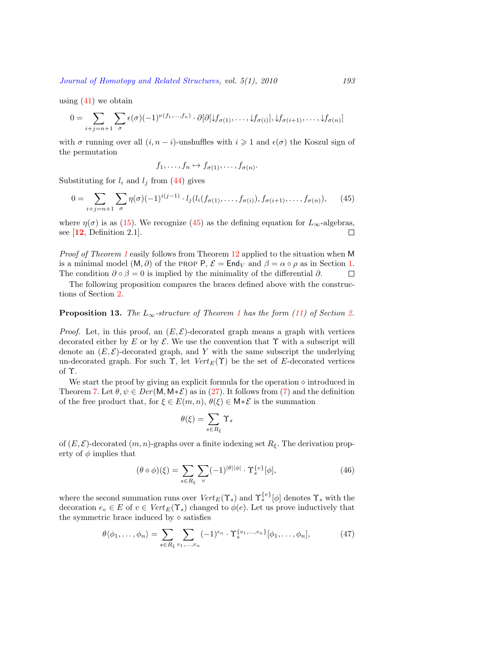using $(41)$  $(41)$  we obtain

$$
0 = \sum_{i+j=n+1} \sum_{\sigma} \epsilon(\sigma) (-1)^{\nu(f_1,\ldots,f_n)} \cdot \partial [\partial [\downarrow f_{\sigma(1)},\ldots,\downarrow f_{\sigma(i)}], \downarrow f_{\sigma(i+1)},\ldots,\downarrow f_{\sigma(n)}]
$$

with  $\sigma$  running over all  $(i, n - i)$ -unshuffles with  $i \geq 1$  and  $\epsilon(\sigma)$  the Koszul sign of the permutation

$$
f_1, \ldots, f_n \mapsto f_{\sigma(1)}, \ldots, f_{\sigma(n)}
$$
.

Substituting for  $l_i$  and  $l_j$  from [\(44](#page-15-3)) gives

<span id="page-16-0"></span>
$$
0 = \sum_{i+j=n+1} \sum_{\sigma} \eta(\sigma)(-1)^{i(j-1)} \cdot l_j(l_i(f_{\sigma(1)},\ldots,f_{\sigma(i)}), f_{\sigma(i+1)},\ldots,f_{\sigma(n)}), \qquad (45)
$$

where $\eta(\sigma)$  is as ([15\)](#page-8-0). We recognize [\(45](#page-16-0)) as the defining equation for  $L_{\infty}$ -algebras, see [**[12](#page-34-7)**, Definition 2.1].  $\Box$ 

*Proof of Theorem [1](#page-2-0)* easily follows from Theorem [12](#page-15-0) applied to the situation when M is a minimal model  $(M, \partial)$  of the PROP P,  $\mathcal{E} = \text{End}_V$  and  $\beta = \alpha \circ \rho$  as in Section [1](#page-1-2). The condition  $\partial \circ \beta = 0$  is implied by the minimality of the differential  $\partial$ .  $\Box$ 

The following proposition compares the braces defined above with the constructions of Section [2.](#page-5-0)

### <span id="page-16-3"></span>**Proposition [1](#page-2-0)3.** The  $L_{\infty}$ -structure of Theorem 1 has the form ([11](#page-7-0)) of Section [2](#page-5-0).

*Proof.* Let, in this proof, an  $(E, \mathcal{E})$ -decorated graph means a graph with vertices decorated either by  $E$  or by  $\mathcal E$ . We use the convention that  $\Upsilon$  with a subscript will denote an  $(E, \mathcal{E})$ -decorated graph, and Y with the same subscript the underlying un-decorated graph. For such  $\Upsilon$ , let *Vert*<sub>*E*</sub>( $\Upsilon$ ) be the set of *E*-decorated vertices of Υ.

We start the proof by giving an explicit formula for the operation *⋄* introduced in Theorem [7](#page-11-0).Let  $\theta, \psi \in Der(M, M * \mathcal{E})$  as in [\(27](#page-11-1)). It follows from ([7\)](#page-5-3) and the definition of the free product that, for  $\xi \in E(m, n)$ ,  $\theta(\xi) \in M * \mathcal{E}$  is the summation

$$
\theta(\xi) = \sum_{s \in R_{\xi}} \Upsilon_s
$$

of  $(E, \mathcal{E})$ -decorated  $(m, n)$ -graphs over a finite indexing set  $R_{\xi}$ . The derivation property of  $\phi$  implies that

<span id="page-16-2"></span>
$$
(\theta \diamond \phi)(\xi) = \sum_{s \in R_{\xi}} \sum_{v} (-1)^{|\theta| |\phi|} \cdot \Upsilon_s^{\{v\}}[\phi], \tag{46}
$$

where the second summation runs over  $Vert(\Upsilon_s)$  and  $\Upsilon_s^{\{v\}}[\phi]$  denotes  $\Upsilon_s$  with the decoration  $e_v \in E$  of  $v \in Vert_E(\Upsilon_s)$  changed to  $\phi(e)$ . Let us prove inductively that the symmetric brace induced by *⋄* satisfies

<span id="page-16-1"></span>
$$
\theta \langle \phi_1, \dots, \phi_n \rangle = \sum_{s \in R_{\xi}} \sum_{v_1, \dots, v_n} (-1)^{\epsilon_n} \cdot \Upsilon_s^{\{v_1, \dots, v_n\}} [\phi_1, \dots, \phi_n], \tag{47}
$$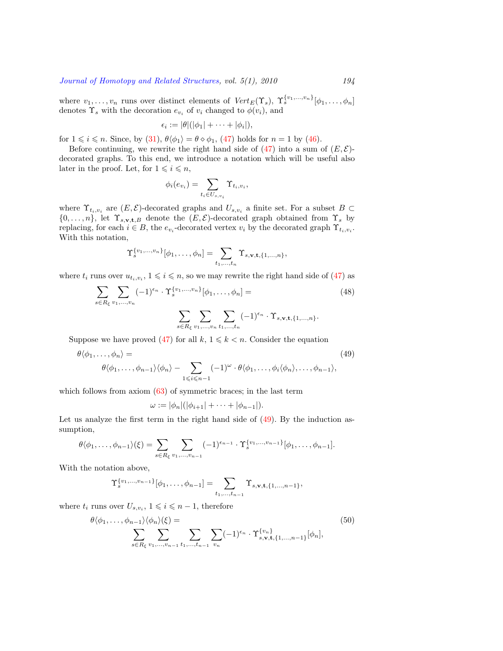where  $v_1, \ldots, v_n$  runs over distinct elements of  $Vert(\Upsilon_s), \Upsilon_s^{\{v_1, \ldots, v_n\}}[\phi_1, \ldots, \phi_n]$ denotes  $\Upsilon_s$  with the decoration  $e_{v_i}$  of  $v_i$  changed to  $\phi(v_i)$ , and

$$
\epsilon_i := |\theta|(|\phi_1| + \cdots + |\phi_i|),
$$

for $1 \leq i \leq n$ . Since, by ([31\)](#page-12-4),  $\theta \langle \phi_1 \rangle = \theta \diamond \phi_1$ , ([47\)](#page-16-1) holds for  $n = 1$  by ([46\)](#page-16-2).

Beforecontinuing, we rewrite the right hand side of  $(47)$  $(47)$  $(47)$  into a sum of  $(E, \mathcal{E})$ decorated graphs. To this end, we introduce a notation which will be useful also later in the proof. Let, for  $1 \leq i \leq n$ ,

$$
\phi_i(e_{v_i}) = \sum_{t_i \in U_{s,v_i}} \Upsilon_{t_i,v_i},
$$

where  $\Upsilon_{t_i,v_i}$  are  $(E,\mathcal{E})$ -decorated graphs and  $U_{s,v_i}$  a finite set. For a subset  $B \subset$  $\{0, \ldots, n\}$ , let  $\Upsilon_{s, \mathbf{v}, \mathbf{t}, B}$  denote the  $(E, \mathcal{E})$ -decorated graph obtained from  $\Upsilon_s$  by replacing, for each  $i \in B$ , the  $e_{v_i}$ -decorated vertex  $v_i$  by the decorated graph  $\Upsilon_{t_i, v_i}$ . With this notation,

$$
\Upsilon_s^{\{v_1,\dots,v_n\}}[\phi_1,\dots,\phi_n] = \sum_{t_1,\dots,t_n} \Upsilon_{s,\mathbf{v},\mathbf{t},\{1,\dots,n\}},
$$

where  $t_i$  runs over  $u_{t_i,v_i}$ ,  $1 \leqslant i \leqslant n$ , so we may rewrite the right hand side of [\(47](#page-16-1)) as

<span id="page-17-2"></span>
$$
\sum_{s \in R_{\xi}} \sum_{v_1, \dots, v_n} (-1)^{\epsilon_n} \cdot \Upsilon_s^{\{v_1, \dots, v_n\}} [\phi_1, \dots, \phi_n] =
$$
\n
$$
\sum_{s \in R_{\xi}} \sum_{v_1, \dots, v_n} \sum_{t_1, \dots, t_n} (-1)^{\epsilon_n} \cdot \Upsilon_{s, \mathbf{v}, \mathbf{t}, \{1, \dots, n\}}.
$$
\n(48)

Supposewe have proved ([47\)](#page-16-1) for all  $k, 1 \leq k \leq n$ . Consider the equation

<span id="page-17-0"></span>
$$
\theta \langle \phi_1, \dots, \phi_n \rangle =
$$
\n
$$
\theta \langle \phi_1, \dots, \phi_{n-1} \rangle \langle \phi_n \rangle - \sum_{1 \leqslant i \leqslant n-1} (-1)^{\omega} \cdot \theta \langle \phi_1, \dots, \phi_i \langle \phi_n \rangle, \dots, \phi_{n-1} \rangle,
$$
\n(49)

which follows from axiom  $(63)$  of symmetric braces; in the last term

$$
\omega := |\phi_n|(|\phi_{i+1}| + \cdots + |\phi_{n-1}|).
$$

Let us analyze the first term in the right hand side of  $(49)$ . By the induction assumption,

$$
\theta \langle \phi_1, \ldots, \phi_{n-1} \rangle (\xi) = \sum_{s \in R_{\xi}} \sum_{v_1, \ldots, v_{n-1}} (-1)^{\epsilon_{n-1}} \cdot \Upsilon_s^{\{v_1, \ldots, v_{n-1}\}} [\phi_1, \ldots, \phi_{n-1}].
$$

With the notation above,

$$
\Upsilon_s^{\{v_1,\ldots,v_{n-1}\}}[\phi_1,\ldots,\phi_{n-1}] = \sum_{t_1,\ldots,t_{n-1}} \Upsilon_{s,\mathbf{v},\mathbf{t},\{1,\ldots,n-1\}},
$$

where  $t_i$  runs over  $U_{s,v_i}$ ,  $1 \leqslant i \leqslant n-1$ , therefore

<span id="page-17-1"></span>
$$
\theta \langle \phi_1, \dots, \phi_{n-1} \rangle \langle \phi_n \rangle \langle \xi \rangle = \sum_{s \in R_{\xi}} \sum_{v_1, \dots, v_{n-1}} \sum_{t_1, \dots, t_{n-1}} \sum_{v_n} (-1)^{\epsilon_n} \cdot \Upsilon_{s, \mathbf{v}, \mathbf{t}, \{1, \dots, n-1\}}^{v_n} [\phi_n], \tag{50}
$$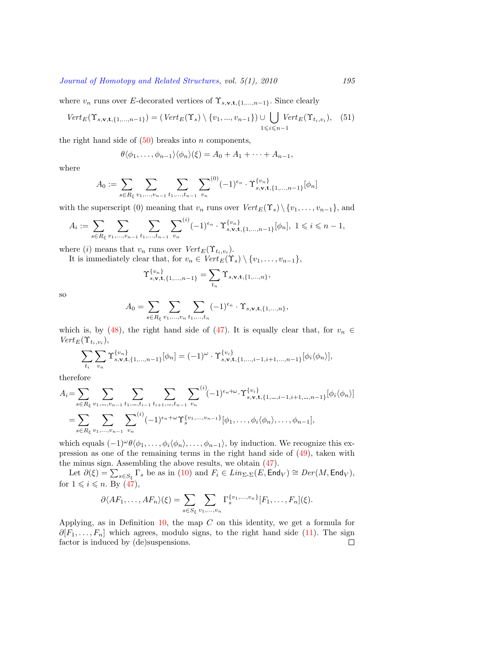where  $v_n$  runs over *E*-decorated vertices of  $\Upsilon_{s,\mathbf{v},\mathbf{t},\{1,\ldots,n-1\}}$ . Since clearly

$$
Vert_E(\Upsilon_{s,\mathbf{v},\mathbf{t},\{1,\ldots,n-1\}}) = (Vert_E(\Upsilon_s) \setminus \{v_1,\ldots,v_{n-1}\}) \cup \bigcup_{1 \le i \le n-1} Vert_E(\Upsilon_{t_i,v_i}), \quad (51)
$$

the right hand side of  $(50)$  breaks into *n* components,

$$
\theta \langle \phi_1, \ldots, \phi_{n-1} \rangle \langle \phi_n \rangle (\xi) = A_0 + A_1 + \cdots + A_{n-1},
$$

where

$$
A_0 := \sum_{s \in R_{\xi}} \sum_{v_1, \dots, v_{n-1}} \sum_{t_1, \dots, t_{n-1}} \sum_{v_n}^{(0)} (-1)^{\epsilon_n} \cdot \Upsilon_{s, \mathbf{v}, \mathbf{t}, \{1, \dots, n-1\}}^{v_n} [\phi_n]
$$

with the superscript (0) meaning that  $v_n$  runs over  $Vert E(\Upsilon_s) \setminus \{v_1, \ldots, v_{n-1}\}\$ , and

$$
A_i := \sum_{s \in R_{\xi}} \sum_{v_1, \dots, v_{n-1}} \sum_{t_1, \dots, t_{n-1}} \sum_{v_n}^{(i)} (-1)^{\epsilon_n} \cdot \Upsilon_{s, \mathbf{v}, \mathbf{t}, \{1, \dots, n-1\}}^{v_n} [\phi_n], \ 1 \leq i \leq n-1,
$$

where (*i*) means that  $v_n$  runs over  $Vert(\Upsilon_{t_i}, v_i)|$ .

It is immediately clear that, for  $v_n \in Vert_E(\Upsilon_s) \setminus \{v_1, \ldots, v_{n-1}\},$ 

$$
\Upsilon_{s,\mathbf{v},\mathbf{t},\{1,\ldots,n-1\}}^{\{v_n\}} = \sum_{t_n} \Upsilon_{s,\mathbf{v},\mathbf{t},\{1,\ldots,n\}},
$$

so

$$
A_0 = \sum_{s \in R_{\xi}} \sum_{v_1, \dots, v_n} \sum_{t_1, \dots, t_n} (-1)^{\epsilon_n} \cdot \Upsilon_{s, \mathbf{v}, \mathbf{t}, \{1, \dots, n\}},
$$

whichis, by ([48\)](#page-17-2), the right hand side of [\(47](#page-16-1)). It is equally clear that, for  $v_n \in$  $Vert$ *E*( $\Upsilon$ *t*<sub>*i*</sub>,*v*<sub>*i*</sub>),

$$
\sum_{t_i} \sum_{v_n} \Upsilon_{s,\mathbf{v},\mathbf{t},\{1,\ldots,n-1\}}^{v_n} [\phi_n] = (-1)^{\omega} \cdot \Upsilon_{s,\mathbf{v},\mathbf{t},\{1,\ldots,i-1,i+1,\ldots,n-1\}}^{v_i} [\phi_i \langle \phi_n \rangle],
$$

therefore

$$
A_{i} = \sum_{s \in R_{\xi}} \sum_{v_{1}, \dots, v_{n-1}} \sum_{t_{1}, \dots, t_{i-1}} \sum_{t_{i+1}, \dots, t_{n-1}} \sum_{v_{n}} \sum_{v_{n}}^{(i)} (-1)^{\epsilon_{n} + \omega} \cdot \Upsilon_{s, \mathbf{v}, \mathbf{t}, \{1, \dots, i-1, i+1, \dots, n-1\}}^{v_{i}} [\phi_{i} \langle \phi_{n} \rangle]
$$
  
= 
$$
\sum_{s \in R_{\xi}} \sum_{v_{1}, \dots, v_{n-1}} \sum_{v_{n}}^{(i)} (-1)^{\epsilon_{n} + \omega} \Upsilon_{s}^{\{v_{1}, \dots, v_{n-1}\}} [\phi_{1}, \dots, \phi_{i} \langle \phi_{n} \rangle, \dots, \phi_{n-1}],
$$

which equals  $(-1)^{\omega} \theta \langle \phi_1, \ldots, \phi_i \langle \phi_n \rangle, \ldots, \phi_{n-1} \rangle$ , by induction. We recognize this expression as one of the remaining terms in the right hand side of [\(49](#page-17-0)), taken with the minus sign. Assembling the above results, we obtain([47\)](#page-16-1).

Let  $\partial(\xi) = \sum_{s \in S_{\xi}} \Gamma_s$  be as in [\(10](#page-6-3)) and  $F_i \in Lin_{\Sigma^{\perp} \Sigma}(E, \text{End}_V) \cong Der(M, \text{End}_V)$ , for $1 \leqslant i \leqslant n$ . By  $\left(47\right)$ ,

$$
\partial \langle AF_1, \ldots, AF_n \rangle (\xi) = \sum_{s \in S_{\xi}} \sum_{v_1, \ldots, v_n} \Gamma_s^{\{v_1, \ldots, v_n\}} [F_1, \ldots, F_n] (\xi).
$$

Applying, as in Definition [10,](#page-14-3) the map *C* on this identity, we get a formula for  $∂[F_1, \ldots, F_n]$  $∂[F_1, \ldots, F_n]$  $∂[F_1, \ldots, F_n]$  which agrees, modulo signs, to the right hand side ([11\)](#page-7-0). The sign factor is induced by (de)suspensions. $\Box$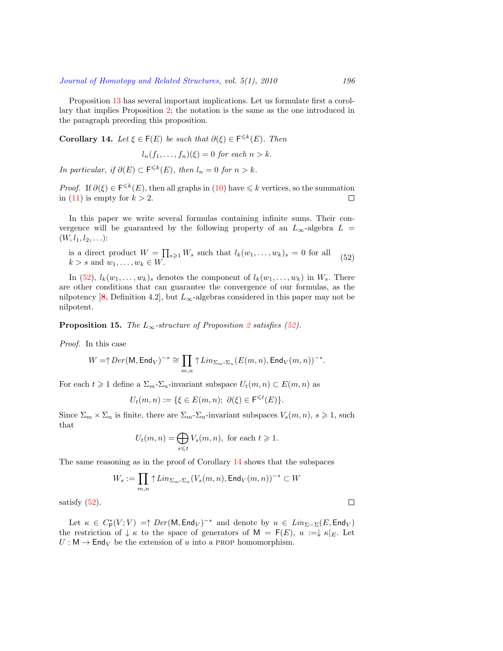Proposition [13](#page-16-3) has several important implications. Let us formulate first a corollary that implies Proposition [2;](#page-2-1) the notation is the same as the one introduced in the paragraph preceding this proposition.

<span id="page-19-1"></span>**Corollary 14.** *Let*  $\xi \in \mathsf{F}(E)$  *be such that*  $\partial(\xi) \in \mathsf{F}^{\leq k}(E)$ *. Then* 

$$
l_n(f_1,\ldots,f_n)(\xi)=0 \text{ for each } n>k.
$$

*In particular, if*  $\partial(E) \subset \mathsf{F}^{\leq k}(E)$ *, then*  $l_n = 0$  *for*  $n > k$ *.* 

*Proof.*If  $\partial(\xi) \in \mathsf{F}^{\leq k}(E)$ , then all graphs in ([10\)](#page-6-3) have  $\leq k$  vertices, so the summation in  $(11)$  is empty for  $k > 2$ .  $\Box$ 

In this paper we write several formulas containing infinite sums. Their convergence will be guaranteed by the following property of an  $L_{\infty}$ -algebra  $L =$  $(W, l_1, l_2, \ldots)$ :

<span id="page-19-0"></span>is a direct product  $W = \prod_{s \geqslant 1} W_s$  such that  $l_k(w_1, \ldots, w_k)_s = 0$  for all  $k > s$  and  $w_1, \ldots, w_k \in W$ . (52)

In([52\)](#page-19-0),  $l_k(w_1, \ldots, w_k)$  denotes the component of  $l_k(w_1, \ldots, w_k)$  in  $W_s$ . There are other conditions that can guarantee the convergence of our formulas, as the nilpotency [[8](#page-34-16)], Definition 4.2], but  $L_{\infty}$ -algebras considered in this paper may not be nilpotent.

**Proposition 15.** *The*  $L_{\infty}$ -structure of Proposition [2](#page-2-1) satisfies ([52\)](#page-19-0).

*Proof.* In this case

$$
W=\uparrow Der(\mathsf{M}, \mathsf{End}_V)^{-*}\cong \prod_{m,n}\uparrow Lin_{\Sigma_m\text{-}\Sigma_n}(E(m,n), \mathsf{End}_V(m,n))^{-*}.
$$

For each  $t \geq 1$  define a  $\Sigma_m$ - $\Sigma_n$ -invariant subspace  $U_t(m, n) \subset E(m, n)$  as

$$
U_t(m,n) := \{ \xi \in E(m,n); \ \partial(\xi) \in \mathsf{F}^{\leq t}(E) \}.
$$

Since  $\Sigma_m \times \Sigma_n$  is finite, there are  $\Sigma_m$ - $\Sigma_n$ -invariant subspaces  $V_s(m, n)$ ,  $s \geq 1$ , such that

$$
U_t(m, n) = \bigoplus_{s \leq t} V_s(m, n), \text{ for each } t \geq 1.
$$

The same reasoning as in the proof of Corollary [14](#page-19-1) shows that the subspaces

$$
W_s:=\prod_{m,n}\uparrow Lin_{\Sigma_m\text{-}\Sigma_n}(V_s(m,n),\mathsf{End}_V(m,n))^{-*}\subset W
$$

satisfy([52\)](#page-19-0).

Let  $\kappa \in C^*_{\mathsf{P}}(V;V) = \uparrow Der(\mathsf{M}, \mathsf{End}_V)^{-*}$  and denote by  $u \in Lin_{\Sigma-\Sigma}(E, \mathsf{End}_V)$ the restriction of  $\downarrow \kappa$  to the space of generators of M =  $F(E)$ ,  $u := \downarrow \kappa|_E$ . Let  $U : \mathsf{M} \to \mathsf{End}_V$  be the extension of *u* into a PROP homomorphism.

 $\Box$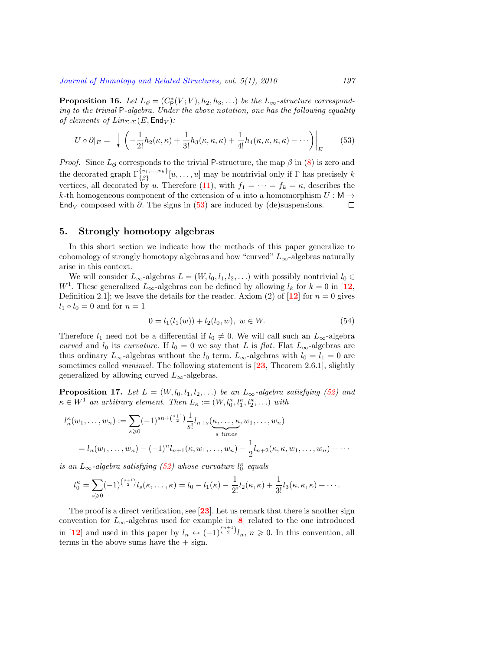<span id="page-20-0"></span>**Proposition 16.** *Let*  $L_{\emptyset} = (C_{\mathsf{P}}^{*}(V; V), h_2, h_3, \ldots)$  *be the*  $L_{\infty}$ -structure correspond*ing to the trivial* P*-algebra. Under the above notation, one has the following equality of elements of Lin*<sub>Σ</sub>- $\Sigma(E, \text{End}_V)$ *:* 

<span id="page-20-2"></span>
$$
U \circ \partial|_E = \left. \int \left( -\frac{1}{2!} h_2(\kappa, \kappa) + \frac{1}{3!} h_3(\kappa, \kappa, \kappa) + \frac{1}{4!} h_4(\kappa, \kappa, \kappa, \kappa) - \cdots \right) \right|_E \tag{53}
$$

*Proof.* Since  $L_{\emptyset}$  corresponds to the trivial P-structure, the map  $\beta$  in [\(8](#page-6-1)) is zero and the decorated graph  $\Gamma_{\{\beta\}}^{\{v_1,\ldots,v_k\}}[u,\ldots,u]$  may be nontrivial only if  $\Gamma$  has precisely *k* vertices,all decorated by *u*. Therefore ([11](#page-7-0)), with  $f_1 = \cdots = f_k = \kappa$ , describes the *k*-th homogeneous component of the extension of *u* into a homomorphism  $U : \mathsf{M} \to$ End<sub>*V*</sub> composed with  $\partial$ . The signs in [\(53](#page-20-2)) are induced by (de)suspensions.  $\Box$ 

#### <span id="page-20-1"></span>**5. Strongly homotopy algebras**

In this short section we indicate how the methods of this paper generalize to cohomology of strongly homotopy algebras and how "curved" *L∞*-algebras naturally arise in this context.

We will consider  $L_{\infty}$ -algebras  $L = (W, l_0, l_1, l_2, \ldots)$  with possibly nontrivial  $l_0 \in$ *W*<sup>1</sup>. These generalized  $L_{\infty}$ -algebras can be defined by allowing  $l_k$  for  $k = 0$  in [[12](#page-34-7), Definition 2.1; we leave the details for the reader. Axiom (2) of  $\boxed{12}$  $\boxed{12}$  $\boxed{12}$  for  $n = 0$  gives  $l_1 \circ l_0 = 0$  and for  $n = 1$ 

$$
0 = l_1(l_1(w)) + l_2(l_0, w), \ w \in W.
$$
\n(54)

Therefore  $l_1$  need not be a differential if  $l_0 \neq 0$ . We will call such an  $L_{\infty}$ -algebra *curved* and  $l_0$  its *curvature*. If  $l_0 = 0$  we say that *L* is *flat*. Flat  $L_\infty$ -algebras are thus ordinary  $L_{\infty}$ -algebras without the  $l_0$  term.  $L_{\infty}$ -algebras with  $l_0 = l_1 = 0$  are sometimes called *minimal*. The following statement is [**[23](#page-34-17)**, Theorem 2.6.1], slightly generalized by allowing curved  $L_\infty$ -algebras.

<span id="page-20-3"></span>**Proposition 17.** *Let*  $L = (W, l_0, l_1, l_2, \ldots)$  *be an*  $L_\infty$ -*algebra satisfying* (*[52\)](#page-19-0) and*  $\kappa \in W^1$  *an <u>arbitrary</u> element. Then*  $L_{\kappa} := (W, l_0^{\kappa}, l_1^{\kappa}, l_2^{\kappa}, \ldots)$  *with* 

$$
l_n^{\kappa}(w_1, \ldots, w_n) := \sum_{s \ge 0} (-1)^{sn + \binom{s+1}{2}} \frac{1}{s!} l_{n+s}(\underbrace{\kappa, \ldots, \kappa}_{s \text{ times}}, w_1, \ldots, w_n)
$$
  
=  $l_n(w_1, \ldots, w_n) - (-1)^n l_{n+1}(\kappa, w_1, \ldots, w_n) - \frac{1}{2} l_{n+2}(\kappa, \kappa, w_1, \ldots, w_n) + \cdots$ 

*is an*  $L_{\infty}$ -algebra satisfying ([52](#page-19-0)) whose curvature  $l_0^{\kappa}$  equals

$$
l_0^{\kappa} = \sum_{s \geq 0} (-1)^{\binom{s+1}{2}} l_s(\kappa, \ldots, \kappa) = l_0 - l_1(\kappa) - \frac{1}{2!} l_2(\kappa, \kappa) + \frac{1}{3!} l_3(\kappa, \kappa, \kappa) + \cdots
$$

The proof is a direct verification, see [**[23](#page-34-17)**]. Let us remark that there is another sign convention for  $L_{\infty}$ -algebras used for example in [[8](#page-34-16)] related to the one introduced in [[12](#page-34-7)] and used in this paper by  $l_n \leftrightarrow (-1)^{\binom{n+1}{2}} l_n$ ,  $n \geq 0$ . In this convention, all terms in the above sums have the  $+$  sign.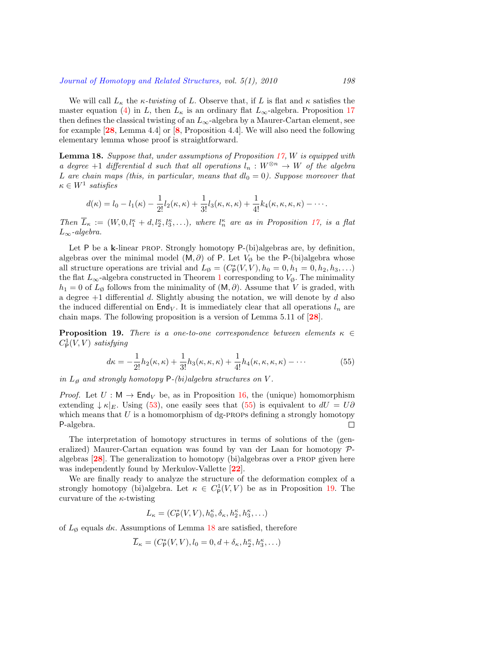We will call  $L_{\kappa}$  the  $\kappa$ -twisting of L. Observe that, if L is flat and  $\kappa$  satisfies the master equation [\(4](#page-4-0)) in *L*, then  $L_{\kappa}$  is an ordinary flat  $L_{\infty}$ -algebra. Proposition [17](#page-20-3) then defines the classical twisting of an  $L_{\infty}$ -algebra by a Maurer-Cartan element, see for example [**[28](#page-35-0)**, Lemma 4.4] or [**[8](#page-34-16)**, Proposition 4.4]. We will also need the following elementary lemma whose proof is straightforward.

<span id="page-21-2"></span>**Lemma 18.** *Suppose that, under assumptions of Proposition [17](#page-20-3), W is equipped with a* degree +1 differential *d* such that all operations  $l_n : W^{\otimes n} \to W$  of the algebra *L* are chain maps (this, in particular, means that  $dl_0 = 0$ ). Suppose moreover that  $\kappa \in W^1$  *satisfies* 

$$
d(\kappa) = l_0 - l_1(\kappa) - \frac{1}{2!}l_2(\kappa, \kappa) + \frac{1}{3!}l_3(\kappa, \kappa, \kappa) + \frac{1}{4!}k_4(\kappa, \kappa, \kappa, \kappa) - \cdots
$$

*Then*  $\overline{L}_{\kappa} := (W, 0, l_1^{\kappa} + d, l_2^{\kappa}, l_3^{\kappa}, \ldots)$ , where  $l_n^{\kappa}$  are as in Proposition [17,](#page-20-3) is a flat *L∞-algebra.*

Let P be a **k**-linear PROP. Strongly homotopy P-(bi)algebras are, by definition, algebras over the minimal model  $(M, \partial)$  of P. Let  $V_{\emptyset}$  be the P-(bi)algebra whose all structure operations are trivial and  $L_{\emptyset} = (C_{\mathsf{P}}^{*}(V, V), h_{0} = 0, h_{1} = 0, h_{2}, h_{3}, \ldots)$ the flat  $L_{\infty}$ -algebra constructed in Theorem [1](#page-2-0) corresponding to  $V_{\emptyset}$ . The minimality  $h_1 = 0$  of  $L_\emptyset$  follows from the minimality of  $(M, \partial)$ . Assume that *V* is graded, with a degree +1 differential *d*. Slightly abusing the notation, we will denote by *d* also the induced differential on  $\text{End}_V$ . It is immediately clear that all operations  $l_n$  are chain maps. The following proposition is a version of Lemma 5.11 of [**[28](#page-35-0)**].

<span id="page-21-1"></span>**Proposition 19.** *There is a one-to-one correspondence between elements*  $\kappa \in$  $C^1_{\mathsf{P}}(V, V)$  *satisfying* 

<span id="page-21-0"></span>
$$
d\kappa = -\frac{1}{2!}h_2(\kappa, \kappa) + \frac{1}{3!}h_3(\kappa, \kappa, \kappa) + \frac{1}{4!}h_4(\kappa, \kappa, \kappa, \kappa) - \cdots
$$
 (55)

*in*  $L_{\emptyset}$  *and strongly homotopy*  $P-(bi) algebra$  *structures on*  $V$ *.* 

*Proof.* Let  $U : \mathsf{M} \to \mathsf{End}_V$  be, as in Proposition [16,](#page-20-0) the (unique) homomorphism extending $\downarrow \kappa|_E$ . Using ([53\)](#page-20-2), one easily sees that ([55\)](#page-21-0) is equivalent to  $dU = U\partial$ which means that  $U$  is a homomorphism of dg-PROPs defining a strongly homotopy P-algebra.  $\Box$ 

The interpretation of homotopy structures in terms of solutions of the (generalized) Maurer-Cartan equation was found by van der Laan for homotopy *P*algebras [**[28](#page-35-0)**]. The generalization to homotopy (bi)algebras over a prop given here was independently found by Merkulov-Vallette [**[22](#page-34-9)**].

We are finally ready to analyze the structure of the deformation complex of a strongly homotopy (bi)algebra. Let  $\kappa \in C^1_P(V, V)$  be as in Proposition [19](#page-21-1). The curvature of the *κ*-twisting

$$
L_\kappa = (C_\mathsf{P}^*(V,V), h_0^\kappa, \delta_\kappa, h_2^\kappa, h_3^\kappa, \ldots)
$$

of *L*ø equals *dκ*. Assumptions of Lemma [18](#page-21-2) are satisfied, therefore

$$
\overline{L}_{\kappa} = (C_{\mathsf{P}}^*(V, V), l_0 = 0, d + \delta_{\kappa}, h_2^{\kappa}, h_3^{\kappa}, \ldots)
$$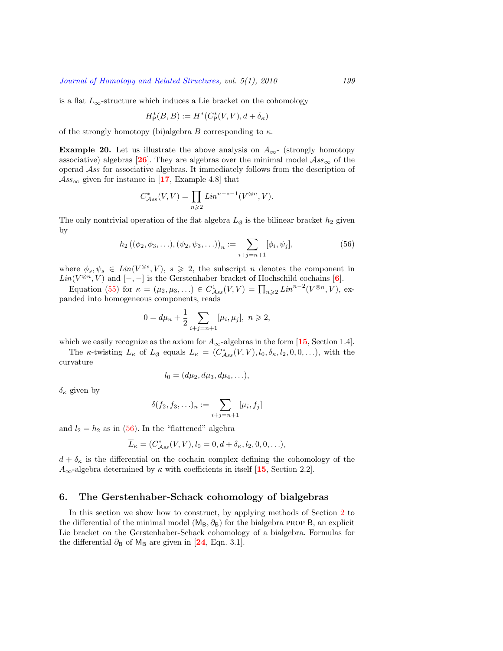is a flat  $L_{\infty}$ -structure which induces a Lie bracket on the cohomology

$$
H^*_{\mathsf P}(B,B):=H^*(C^*_{\mathsf P}(V,V),d+\delta_\kappa)
$$

of the strongly homotopy (bi)algebra *B* corresponding to *κ*.

**Example 20.** Let us illustrate the above analysis on  $A_{\infty}$ - (strongly homotopy associative) algebras [[26](#page-34-18)]. They are algebras over the minimal model  $\mathcal{A}ss_{\infty}$  of the operad *Ass* for associative algebras. It immediately follows from the description of  $\mathcal{A}$ *ss*<sub>∞</sub> given for instance in [[17](#page-34-19), Example 4.8] that

$$
C_{Ass}^*(V, V) = \prod_{n \geqslant 2} Lin^{n-*-1}(V^{\otimes n}, V).
$$

The only nontrivial operation of the flat algebra  $L_{\emptyset}$  is the bilinear bracket  $h_2$  given by

<span id="page-22-1"></span>
$$
h_2((\phi_2, \phi_3, \ldots), (\psi_2, \psi_3, \ldots))_n := \sum_{i+j=n+1} [\phi_i, \psi_j],
$$
\n(56)

where  $\phi_s, \psi_s \in \text{Lin}(V^{\otimes s}, V), s \geq 2$ , the subscript *n* denotes the component in  $Lin(V^{\otimes n}, V)$  and  $[-, -]$  is the Gerstenhaber bracket of Hochschild cochains [[6](#page-33-0)].

Equation([55\)](#page-21-0) for  $\kappa = (\mu_2, \mu_3, \ldots) \in C^1_{Ass}(V, V) = \prod_{n \geq 2} Lin^{n-2}(V^{\otimes n}, V)$ , expanded into homogeneous components, reads

$$
0 = d\mu_n + \frac{1}{2} \sum_{i+j=n+1} [\mu_i, \mu_j], \ n \geq 2,
$$

which we easily recognize as the axiom for  $A_{\infty}$ -algebras in the form [[15](#page-34-20), Section 1.4].

The *κ*-twisting  $L_{\kappa}$  of  $L_{\emptyset}$  equals  $L_{\kappa} = (C^*_{\mathcal{A}ss}(V,V), l_0, \delta_{\kappa}, l_2, 0, 0, \ldots)$ , with the curvature

$$
l_0 = (d\mu_2, d\mu_3, d\mu_4, \ldots),
$$

*δ<sup>κ</sup>* given by

$$
\delta(f_2, f_3, \ldots)_n := \sum_{i+j=n+1} [\mu_i, f_j]
$$

and  $l_2 = h_2$  as in [\(56](#page-22-1)). In the "flattened" algebra

$$
\overline{L}_{\kappa} = (C_{\mathcal{A}ss}^*(V, V), l_0 = 0, d + \delta_{\kappa}, l_2, 0, 0, \ldots),
$$

 $d + \delta_{\kappa}$  is the differential on the cochain complex defining the cohomology of the  $A_{\infty}$ -algebra determined by *κ* with coefficients in itself [[15](#page-34-20), Section 2.2].

# <span id="page-22-0"></span>**6. The Gerstenhaber-Schack cohomology of bialgebras**

In this section we show how to construct, by applying methods of Section [2](#page-5-0) to the differential of the minimal model  $(M_B, \partial_B)$  for the bialgebra PROP B, an explicit Lie bracket on the Gerstenhaber-Schack cohomology of a bialgebra. Formulas for the differential  $\partial_B$  of M<sub>B</sub> are given in [[24](#page-34-1), Eqn. 3.1].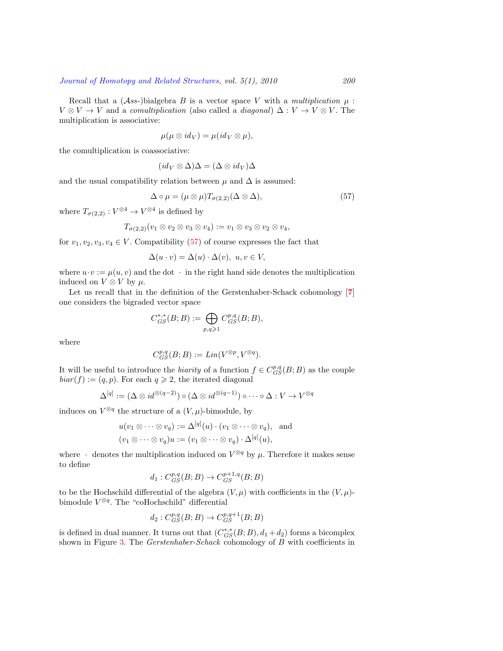Recall that a  $(As-)$ bialgebra *B* is a vector space *V* with a *multiplication*  $\mu$ :  $V \otimes V \to V$  and a *comultiplication* (also called a *diagonal*)  $\Delta : V \to V \otimes V$ . The multiplication is associative:

$$
\mu(\mu\otimes id_V)=\mu(id_V\otimes \mu),
$$

the comultiplication is coassociative:

$$
(id_V \otimes \Delta)\Delta = (\Delta \otimes id_V)\Delta
$$

and the usual compatibility relation between  $\mu$  and  $\Delta$  is assumed:

<span id="page-23-0"></span>
$$
\Delta \circ \mu = (\mu \otimes \mu) T_{\sigma(2,2)} (\Delta \otimes \Delta), \tag{57}
$$

where  $T_{\sigma(2,2)} : V^{\otimes 4} \to V^{\otimes 4}$  is defined by

$$
T_{\sigma(2,2)}(v_1\otimes v_2\otimes v_3\otimes v_4):=v_1\otimes v_3\otimes v_2\otimes v_4,
$$

for $v_1, v_2, v_3, v_4 \in V$ . Compatibility ([57\)](#page-23-0) of course expresses the fact that

$$
\Delta(u \cdot v) = \Delta(u) \cdot \Delta(v), \ u, v \in V,
$$

where  $u \cdot v := \mu(u, v)$  and the dot  $\cdot$  in the right hand side denotes the multiplication induced on  $V \otimes V$  by  $\mu$ .

Let us recall that in the definition of the Gerstenhaber-Schack cohomology [**[7](#page-34-0)**] one considers the bigraded vector space

$$
C_{GS}^{*,*}(B;B):=\bigoplus_{p,q\geqslant 1}C_{GS}^{p,q}(B;B),
$$

where

$$
C_{GS}^{p,q}(B;B) := Lin(V^{\otimes p}, V^{\otimes q}).
$$

It will be useful to introduce the *biarity* of a function  $f \in C_{GS}^{p,q}(B;B)$  as the couple  $biar(f) := (q, p)$ . For each  $q \ge 2$ , the iterated diagonal

$$
\Delta^{[q]} := (\Delta \otimes id^{\otimes (q-2)}) \circ (\Delta \otimes id^{\otimes (q-1)}) \circ \cdots \circ \Delta : V \to V^{\otimes q}
$$

induces on  $V^{\otimes q}$  the structure of a  $(V, \mu)$ -bimodule, by

$$
u(v_1 \otimes \cdots \otimes v_q) := \Delta^{[q]}(u) \cdot (v_1 \otimes \cdots \otimes v_q), \text{ and}
$$
  

$$
(v_1 \otimes \cdots \otimes v_q)u := (v_1 \otimes \cdots \otimes v_q) \cdot \Delta^{[q]}(u),
$$

where  $\cdot$  denotes the multiplication induced on  $V^{\otimes q}$  by  $\mu$ . Therefore it makes sense to define

$$
d_1: C_{GS}^{p,q}(B;B) \to C_{GS}^{p+1,q}(B;B)
$$

to be the Hochschild differential of the algebra  $(V, \mu)$  with coefficients in the  $(V, \mu)$ bimodule *V ⊗q* . The "coHochschild" differential

$$
d_2: C_{GS}^{p,q}(B;B) \to C_{GS}^{p,q+1}(B;B)
$$

is defined in dual manner. It turns out that  $(C_{GS}^{*,*}(B;B), d_1 + d_2)$  forms a bicomplex shown in Figure [3.](#page-24-0) The *Gerstenhaber-Schack* cohomology of *B* with coefficients in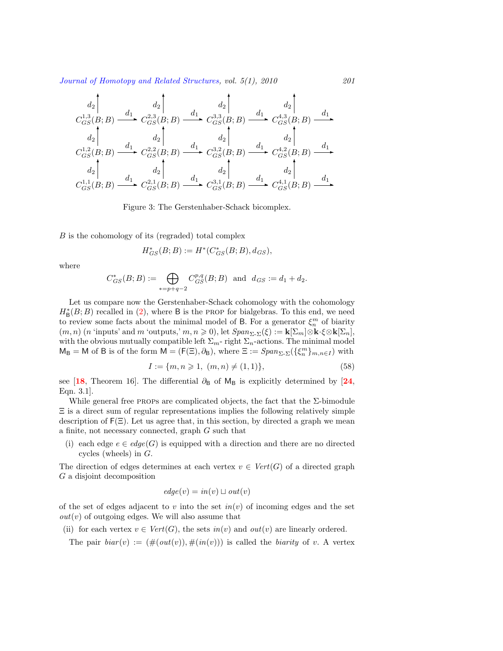$$
d_2 \begin{bmatrix} d_2 \ C_{GS}^{1,3}(B;B) \xrightarrow{d_1} C_{GS}^{2,3}(B;B) \xrightarrow{d_1} C_{GS}^{3,3}(B;B) \xrightarrow{d_1} C_{GS}^{4,3}(B;B) \xrightarrow{d_1} d_2 \\ d_2 \begin{bmatrix} d_2 \ C_{GS}^{1,2}(B;B) \xrightarrow{d_1} C_{GS}^{2,2}(B;B) \xrightarrow{d_1} C_{GS}^{3,2}(B;B) \xrightarrow{d_1} C_{GS}^{4,2}(B;B) \xrightarrow{d_1} d_2 \\ d_2 \end{bmatrix} d_2 \begin{bmatrix} d_2 \ C_{GS}^{1,2}(B;B) \xrightarrow{d_2} C_{GS}^{3,2}(B;B) \xrightarrow{d_2} C_{GS}^{4,2}(B;B) \xrightarrow{d_1} d_2 \\ d_2 \end{bmatrix} d_2 \begin{bmatrix} d_2 \ C_{GS}^{1,1}(B;B) \xrightarrow{d_1} C_{GS}^{2,1}(B;B) \xrightarrow{d_1} C_{GS}^{3,1}(B;B) \xrightarrow{d_1} C_{GS}^{4,1}(B;B) \xrightarrow{d_1} d_2 \\ d_2 \end{bmatrix}
$$

<span id="page-24-0"></span>Figure 3: The Gerstenhaber-Schack bicomplex.

*B* is the cohomology of its (regraded) total complex

$$
H^*_{GS}(B;B) := H^*(C^*_{GS}(B;B), d_{GS}),
$$

where

$$
C^*_{GS}(B;B):=\bigoplus_{*=p+q-2}C^{p,q}_{GS}(B;B)\ \ \text{and}\ \ d_{GS}:=d_1+d_2.
$$

Let us compare now the Gerstenhaber-Schack cohomology with the cohomology  $H^*_{\mathsf{B}}(B;B)$  recalled in [\(2](#page-1-0)), where B is the PROP for bialgebras. To this end, we need to review some facts about the minimal model of B. For a generator  $\xi_n^m$  of biarity  $(m, n)$  (*n* 'inputs' and *m* 'outputs,'  $m, n \ge 0$ ), let  $Span_{\Sigma_{\tau} \Sigma_{\tau}}(\xi) := \mathbf{k}[\Sigma_m] \otimes \mathbf{k} \cdot \xi \otimes \mathbf{k}[\Sigma_n]$ , with the obvious mutually compatible left  $\Sigma_m$ - right  $\Sigma_n$ -actions. The minimal model  $M_B = M$  of B is of the form  $M = (F(\Xi), \partial_B)$ , where  $\Xi := Span_{\Sigma \cdot \Sigma}(\{\xi_n^m\}_{m,n \in I})$  with

<span id="page-24-1"></span>
$$
I := \{m, n \geq 1, (m, n) \neq (1, 1)\},\tag{58}
$$

see [[18](#page-34-2), Theorem 16]. The differential  $\partial_B$  of  $M_B$  is explicitly determined by [[24](#page-34-1), Eqn. 3.1].

While general free PROPs are complicated objects, the fact that the  $\Sigma$ -bimodule Ξ is a direct sum of regular representations implies the following relatively simple description of  $F(\Xi)$ . Let us agree that, in this section, by directed a graph we mean a finite, not necessary connected, graph *G* such that

(i) each edge  $e \in edge(G)$  is equipped with a direction and there are no directed cycles (wheels) in *G*.

The direction of edges determines at each vertex  $v \in Vert(G)$  of a directed graph *G* a disjoint decomposition

$$
edge(v) = in(v) \sqcup out(v)
$$

of the set of edges adjacent to  $v$  into the set  $in(v)$  of incoming edges and the set  $out(v)$  of outgoing edges. We will also assume that

(ii) for each vertex  $v \in Vert(G)$ , the sets  $in(v)$  and  $out(v)$  are linearly ordered.

The pair  $biar(v) := (\#(out(v)), \#(in(v)))$  is called the *biarity* of *v*. A vertex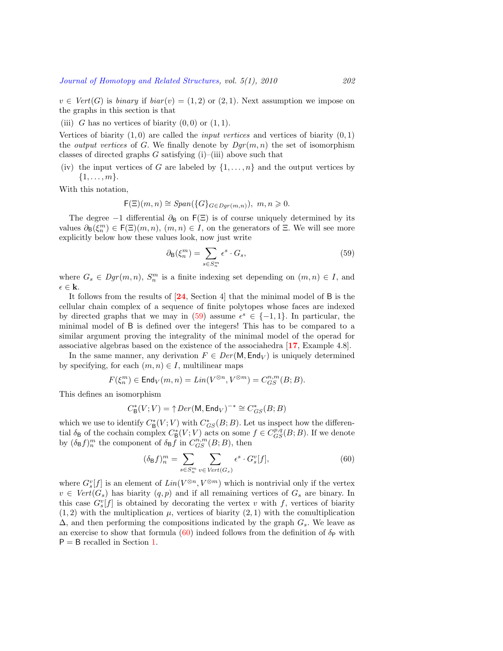$v \in Vert(G)$  is *binary* if  $biar(v) = (1, 2)$  or  $(2, 1)$ . Next assumption we impose on the graphs in this section is that

(iii) *G* has no vertices of biarity  $(0,0)$  or  $(1,1)$ .

Vertices of biarity  $(1,0)$  are called the *input vertices* and vertices of biarity  $(0,1)$ the *output vertices* of *G*. We finally denote by  $Dqr(m, n)$  the set of isomorphism classes of directed graphs  $G$  satisfying  $(i)$ –(iii) above such that

(iv) the input vertices of *G* are labeled by  $\{1, \ldots, n\}$  and the output vertices by *{*1*, . . . , m}*.

With this notation,

$$
\mathsf{F}(\Xi)(m,n) \cong Span(\{G\}_{G \in Dgr(m,n)}), \ m, n \geqslant 0.
$$

The degree  $-1$  differential  $\partial_B$  on  $F(\Xi)$  is of course uniquely determined by its values  $\partial_{\mathsf{B}}(\xi_n^m) \in \mathsf{F}(\Xi)(m,n)$ ,  $(m,n) \in I$ , on the generators of  $\Xi$ . We will see more explicitly below how these values look, now just write

<span id="page-25-0"></span>
$$
\partial_{\mathsf{B}}(\xi_n^m) = \sum_{s \in S_n^m} \epsilon^s \cdot G_s,\tag{59}
$$

where  $G_s \in Dgr(m, n)$ ,  $S_n^m$  is a finite indexing set depending on  $(m, n) \in I$ , and  $\epsilon$  ∈ **k**.

It follows from the results of [**[24](#page-34-1)**, Section 4] that the minimal model of B is the cellular chain complex of a sequence of finite polytopes whose faces are indexed by directed graphs that we may in  $(59)$  assume  $\epsilon^s \in \{-1, 1\}$ . In particular, the minimal model of B is defined over the integers! This has to be compared to a similar argument proving the integrality of the minimal model of the operad for associative algebras based on the existence of the associahedra [**[17](#page-34-19)**, Example 4.8].

In the same manner, any derivation  $F \in Der(M, \text{End}_V)$  is uniquely determined by specifying, for each  $(m, n) \in I$ , multilinear maps

$$
F(\xi_n^m)\in \mathsf{End}_V(m,n)=\mathit{Lin}(V^{\otimes n},V^{\otimes m})=C_{GS}^{n,m}(B;B).
$$

This defines an isomorphism

$$
C^*_{\mathsf{B}}(V;V) = \uparrow Der(\mathsf{M}, \mathsf{End}_V)^{-*} \cong C^*_{GS}(B;B)
$$

which we use to identify  $C^*_{\mathsf{B}}(V; V)$  with  $C^*_{GS}(B; B)$ . Let us inspect how the differential  $\delta_B$  of the cochain complex  $C^*_B(V; V)$  acts on some  $f \in C^{p,q}_{GS}(B; B)$ . If we denote by  $(\delta_B f)_n^m$  the component of  $\delta_B f$  in  $C_{GS}^{n,m}(B;B)$ , then

<span id="page-25-1"></span>
$$
(\delta_{\mathsf{B}}f)^m_n = \sum_{s \in S_n^m} \sum_{v \in Vert(G_s)} \epsilon^s \cdot G_s^v[f],\tag{60}
$$

where  $G_s^v[f]$  is an element of  $Lin(V^{\otimes n}, V^{\otimes m})$  which is nontrivial only if the vertex  $v \in Vert(G_s)$  has biarity  $(q, p)$  and if all remaining vertices of  $G_s$  are binary. In this case  $G_s^v[f]$  is obtained by decorating the vertex *v* with *f*, vertices of biarity  $(1,2)$  with the multiplication  $\mu$ , vertices of biarity  $(2,1)$  with the comultiplication ∆, and then performing the compositions indicated by the graph *Gs*. We leave as anexercise to show that formula  $(60)$  $(60)$  indeed follows from the definition of  $\delta_P$  with  $P = B$  recalled in Section [1.](#page-1-2)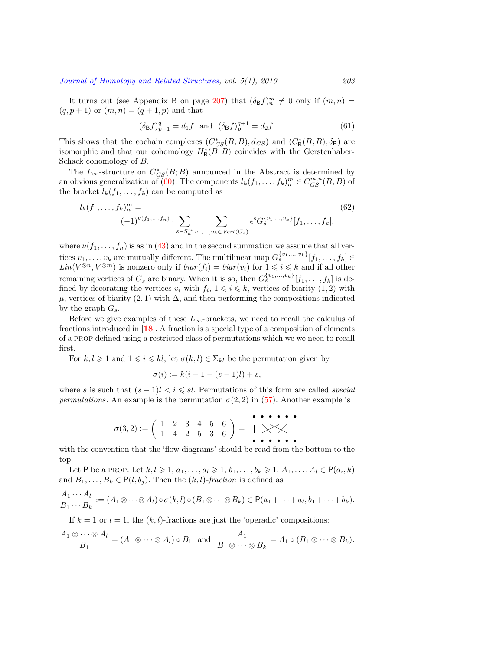It turns out (see Appendix B on page [207](#page-30-0)) that  $(\delta_{\text{B}}f)^m_n \neq 0$  only if  $(m, n)$  =  $(q, p + 1)$  or  $(m, n) = (q + 1, p)$  and that

<span id="page-26-1"></span>
$$
(\delta_{\mathsf{B}}f)_{p+1}^q = d_1 f \text{ and } (\delta_{\mathsf{B}}f)_{p}^{q+1} = d_2 f. \tag{61}
$$

This shows that the cochain complexes  $(C_{GS}^*(B;B), d_{GS})$  and  $(C_B^*(B;B), \delta_B)$  are isomorphic and that our cohomology  $H^*_{\mathsf{B}}(B;B)$  coincides with the Gerstenhaber-Schack cohomology of *B*.

The  $L_{\infty}$ -structure on  $C_{GS}^{*}(B;B)$  announced in the Abstract is determined by an obvious generalization of [\(60](#page-25-1)). The components  $l_k(f_1, \ldots, f_k)_n^m \in C_{GS}^{m,n}(B;B)$  of the bracket  $l_k(f_1, \ldots, f_k)$  can be computed as

<span id="page-26-0"></span>
$$
l_k(f_1, \ldots, f_k)_n^m = \sum_{s \in S_n^m v_1, \ldots, v_k \in Vert(G_s)} \epsilon^s G_s^{\{v_1, \ldots, v_k\}}[f_1, \ldots, f_k],
$$
(62)

where $\nu(f_1, \ldots, f_n)$  is as in ([43\)](#page-15-1) and in the second summation we assume that all vertices  $v_1, \ldots, v_k$  are mutually different. The multilinear map  $G_s^{\{v_1, \ldots, v_k\}}[f_1, \ldots, f_k] \in$  $Lin(V^{\otimes n}, V^{\otimes m})$  is nonzero only if  $biar(f_i) = biar(v_i)$  for  $1 \leq i \leq k$  and if all other remaining vertices of  $G_s$  are binary. When it is so, then  $G_s^{\{v_1,\ldots,v_k\}}[f_1,\ldots,f_k]$  is defined by decorating the vertices  $v_i$  with  $f_i$ ,  $1 \leq i \leq k$ , vertices of biarity  $(1, 2)$  with  $\mu$ , vertices of biarity (2, 1) with  $\Delta$ , and then performing the compositions indicated by the graph  $G_s$ .

Before we give examples of these  $L_{\infty}$ -brackets, we need to recall the calculus of fractions introduced in [**[18](#page-34-2)**]. A fraction is a special type of a composition of elements of a prop defined using a restricted class of permutations which we we need to recall first.

For  $k, l \geq 1$  and  $1 \leq i \leq kl$ , let  $\sigma(k, l) \in \Sigma_{kl}$  be the permutation given by

$$
\sigma(i) := k(i - 1 - (s - 1)l) + s,
$$

where *s* is such that  $(s-1)l < i \leqslant sl$ . Permutations of this form are called *special permutations*.An example is the permutation  $\sigma(2,2)$  in ([57\)](#page-23-0). Another example is

$$
\sigma(3,2) := \left( \begin{array}{rrrrr} 1 & 2 & 3 & 4 & 5 & 6 \\ 1 & 4 & 2 & 5 & 3 & 6 \end{array} \right) = \begin{array}{rrrrr} \bullet & \bullet & \bullet & \bullet & \bullet & \bullet \\ \bullet & \bullet & \bullet & \bullet & \bullet & \bullet \\ \bullet & \bullet & \bullet & \bullet & \bullet & \bullet \end{array}
$$

with the convention that the 'flow diagrams' should be read from the bottom to the top.

Let P be a PROP. Let  $k, l \geqslant 1, a_1, \ldots, a_l \geqslant 1, b_1, \ldots, b_k \geqslant 1, A_1, \ldots, A_l \in P(a_i, k)$ and  $B_1, \ldots, B_k \in P(l, b_i)$ . Then the  $(k, l)$ -fraction is defined as

$$
\frac{A_1\cdots A_l}{B_1\cdots B_k} := (A_1\otimes \cdots \otimes A_l)\circ \sigma(k,l)\circ (B_1\otimes \cdots \otimes B_k) \in P(a_1+\cdots + a_l, b_1+\cdots + b_k).
$$

If  $k = 1$  or  $l = 1$ , the  $(k, l)$ -fractions are just the 'operadic' compositions:

$$
\frac{A_1\otimes\cdots\otimes A_l}{B_1}=(A_1\otimes\cdots\otimes A_l)\circ B_1 \text{ and } \frac{A_1}{B_1\otimes\cdots\otimes B_k}=A_1\circ (B_1\otimes\cdots\otimes B_k).
$$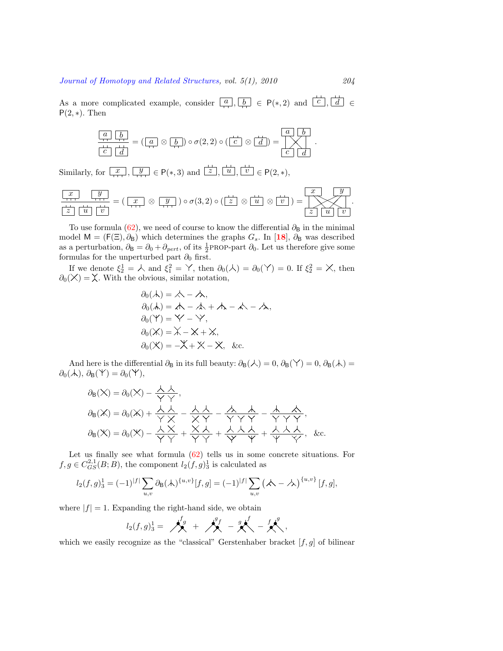As a more complicated example, consider  $\boxed{a}$ ,  $\boxed{b}$   $\in$  P(\*, 2) and  $\boxed{c}$ ,  $\boxed{d}$   $\in$  $P(2, *)$ . Then

$$
\begin{array}{|c|c|c|c|c|}\hline a & b \\ \hline c & d \\ \hline \end{array} = \left(\begin{array}{|c|c|c|}\hline a & \otimes & b \\ \hline \end{array}\right) \circ \sigma(2,2) \circ \left(\begin{array}{|c|c|c|}\hline c & \otimes & d \\ \hline \end{array}\right) = \begin{array}{|c|c|c|}\hline a & b \\ \hline c & d \\ \hline \end{array}.
$$

Similarly, for  $\boxed{x}$ ,  $\boxed{y}$   $\in$  P(\*, 3) and  $\boxed{z}$ ,  $\boxed{u}$ ,  $\boxed{v}$   $\in$  P(2, \*),

$$
\frac{x}{z} \frac{y}{u} = (\frac{x}{v} \otimes \frac{y}{v}) = (\frac{x}{v} \otimes \frac{y}{v}) \circ \sigma(3,2) \circ (\frac{z}{z} \otimes \frac{u}{u} \otimes \frac{v}{v}) = \frac{x}{z} \cdot \frac{y}{u}.
$$

Touse formula ([62\)](#page-26-0), we need of course to know the differential  $\partial_{\mathbf{B}}$  in the minimal model  $M = (F(\Xi), \partial_B)$  which determines the graphs  $G_s$ . In [[18](#page-34-2)],  $\partial_B$  was described as a perturbation,  $\partial_B = \partial_0 + \partial_{pert}$ , of its  $\frac{1}{2}$ PROP-part  $\partial_0$ . Let us therefore give some formulas for the unperturbed part  $\partial_0$  first.

If we denote  $\xi_2^1 = \lambda$  and  $\xi_1^2 = \lambda$ , then  $\partial_0(\lambda) = \partial_0(\lambda') = 0$ . If  $\xi_2^2 = \lambda$ , then  $\partial_0(X) = X$ . With the obvious, similar notation,

$$
\partial_0(\lambda) = \lambda - \lambda,
$$
  
\n
$$
\partial_0(\lambda) = \lambda - \lambda + \lambda - \lambda - \lambda,
$$
  
\n
$$
\partial_0(\lambda') = \lambda' - \lambda',
$$
  
\n
$$
\partial_0(\lambda') = \lambda - \lambda + \lambda,
$$
  
\n
$$
\partial_0(\lambda') = -\lambda' + \lambda - \lambda', \&c.
$$

And here is the differential  $\partial_B$  in its full beauty:  $\partial_B(\lambda) = 0$ ,  $\partial_B(\lambda) = 0$ ,  $\partial_B(\lambda) = 0$  $\partial_0(\mathcal{A}), \, \partial_\mathsf{B}(\mathsf{Y}) = \partial_0(\mathsf{Y}),$ 

$$
\partial_{\mathsf{B}}(\mathsf{X}) = \partial_{0}(\mathsf{X}) - \frac{\mathsf{X} \mathsf{X}}{\mathsf{Y} \mathsf{Y}},
$$
\n
$$
\partial_{\mathsf{B}}(\mathsf{X}) = \partial_{0}(\mathsf{X}) + \frac{\mathsf{X} \mathsf{X}}{\mathsf{Y} \mathsf{X}} - \frac{\mathsf{X} \mathsf{X}}{\mathsf{X} \mathsf{Y}} - \frac{\mathsf{X} \mathsf{X} \mathsf{X}}{\mathsf{Y} \mathsf{Y} \mathsf{Y}} - \frac{\mathsf{X} \mathsf{X} \mathsf{X}}{\mathsf{Y} \mathsf{Y} \mathsf{Y}},
$$
\n
$$
\partial_{\mathsf{B}}(\mathsf{X}) = \partial_{0}(\mathsf{X}) - \frac{\mathsf{X} \mathsf{X}}{\mathsf{Y} \mathsf{Y}} + \frac{\mathsf{X} \mathsf{X} \mathsf{X}}{\mathsf{Y} \mathsf{Y}} + \frac{\mathsf{X} \mathsf{X} \mathsf{X}}{\mathsf{Y} \mathsf{Y}} + \frac{\mathsf{X} \mathsf{X} \mathsf{X}}{\mathsf{Y}}.
$$
\n&c.

Letus finally see what formula  $(62)$  $(62)$  tells us in some concrete situations. For  $f, g \in C_{GS}^{2,1}(B;B)$ , the component  $l_2(f,g)_3^1$  is calculated as

$$
l_2(f,g)_3^1 = (-1)^{|f|} \sum_{u,v} \partial_B(\mathcal{A})^{\{u,v\}}[f,g] = (-1)^{|f|} \sum_{u,v} (\mathcal{A} - \mathcal{A})^{\{u,v\}}[f,g],
$$

where  $|f| = 1$ . Expanding the right-hand side, we obtain

$$
l_2(f,g)_3^1 = \bigwedge^{f_g} + \bigwedge^{g_f} - g \bigwedge^{f} - f \bigwedge^{g}
$$

which we easily recognize as the "classical" Gerstenhaber bracket [*f, g*] of bilinear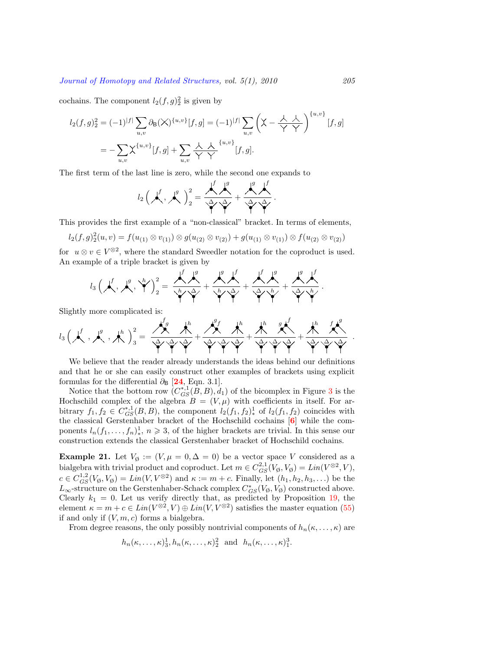cochains. The component  $l_2(f,g)_2^2$  is given by

$$
l_2(f,g)_2^2 = (-1)^{|f|} \sum_{u,v} \partial_B(\bigtimes)^{\{u,v\}} [f,g] = (-1)^{|f|} \sum_{u,v} \left(\bigtimes - \frac{\lambda}{\gamma} \frac{\lambda}{\gamma}\right)^{\{u,v\}} [f,g]
$$
  
= 
$$
-\sum_{u,v} \bigtimes^{\{u,v\}} [f,g] + \sum_{u,v} \frac{\lambda}{\gamma} \frac{\lambda}{\gamma} \frac{\{u,v\}}{\gamma} [f,g].
$$

The first term of the last line is zero, while the second one expands to

$$
l_2\left(\bigwedge^f,\bigwedge^g\right)_2^2=\frac{\bigwedge^f\bigwedge^g}{\searrow\searrow}\div\frac{\bigwedge^g\bigwedge^f}{\searrow\searrow}.
$$

This provides the first example of a "non-classical" bracket. In terms of elements,

$$
l_2(f,g)_{2}^{2}(u,v) = f(u_{(1)} \otimes v_{(1)}) \otimes g(u_{(2)} \otimes v_{(2)}) + g(u_{(1)} \otimes v_{(1)}) \otimes f(u_{(2)} \otimes v_{(2)})
$$

for  $u \otimes v \in V^{\otimes 2}$ , where the standard Sweedler notation for the coproduct is used. An example of a triple bracket is given by

$$
l_3\left(\boldsymbol{\mu}^f_1,\boldsymbol{\mu}^g_2,\boldsymbol{\gamma}^h\right)_2^2=\frac{\boldsymbol{\mu}^f_1\boldsymbol{\mu}^g_2}{\boldsymbol{\gamma}^h_1\boldsymbol{\gamma}\boldsymbol{\lambda}^f_2}+\frac{\boldsymbol{\mu}^g_2\boldsymbol{\mu}^f_2}{\boldsymbol{\gamma}^h_1\boldsymbol{\gamma}\boldsymbol{\lambda}^f_2}+\frac{\boldsymbol{\mu}^g_2\boldsymbol{\mu}^f_2}{\boldsymbol{\gamma}^h_1\boldsymbol{\gamma}\boldsymbol{\lambda}^h_1}.
$$

Slightly more complicated is:

$$
l_3\left(\boldsymbol{\mathcal{N}}\right.,\boldsymbol{\mathcal{N}}\right.,\boldsymbol{\mathcal{N}}\right.)_3^g=\frac{\boldsymbol{\mathcal{N}}_g^f\boldsymbol{\mathcal{N}}_g}{\boldsymbol{\mathcal{N}}_g\boldsymbol{\mathcal{N}}_g}+\frac{\boldsymbol{\mathcal{N}}_g^f\boldsymbol{\mathcal{N}}_g}{\boldsymbol{\mathcal{N}}_g\boldsymbol{\mathcal{N}}_g\boldsymbol{\mathcal{N}}_g}+\frac{\boldsymbol{\mathcal{N}}_g}{\boldsymbol{\mathcal{N}}_g\boldsymbol{\mathcal{N}}_g\boldsymbol{\mathcal{N}}_g}+\frac{\boldsymbol{\mathcal{N}}_g}{\boldsymbol{\mathcal{N}}_g\boldsymbol{\mathcal{N}}_g\boldsymbol{\mathcal{N}}_g}
$$

We believe that the reader already understands the ideas behind our definitions and that he or she can easily construct other examples of brackets using explicit formulas for the differential  $\partial_B$  [[24](#page-34-1), Eqn. 3.1].

Notice that the bottom row  $(C_{GS}^{*,1}(B, B), d_1)$  of the bicomplex in Figure [3](#page-24-0) is the Hochschild complex of the algebra  $B = (V, \mu)$  with coefficients in itself. For arbitrary  $f_1, f_2 \in C_{GS}^{*,1}(B, B)$ , the component  $l_2(f_1, f_2)^1_*$  of  $l_2(f_1, f_2)$  coincides with the classical Gerstenhaber bracket of the Hochschild cochains [**[6](#page-33-0)**] while the components  $l_n(f_1, \ldots, f_n)^1_*$ ,  $n \geq 3$ , of the higher brackets are trivial. In this sense our construction extends the classical Gerstenhaber bracket of Hochschild cochains.

**Example 21.** Let  $V_{\emptyset} := (V, \mu = 0, \Delta = 0)$  be a vector space *V* considered as a bialgebra with trivial product and coproduct. Let  $m \in C_{GS}^{2,1}(V_{\emptyset}, V_{\emptyset}) = Lin(V^{\otimes 2}, V)$ ,  $c \in C_{GS}^{1,2}(V_{\emptyset}, V_{\emptyset}) = Lin(V, V^{\otimes 2})$  and  $\kappa := m + c$ . Finally, let  $(h_1, h_2, h_3, \ldots)$  be the  $L_{\infty}$ -structure on the Gerstenhaber-Schack complex  $C^*_{GS}(V_{\emptyset}, V_{\emptyset})$  constructed above. Clearly  $k_1 = 0$ . Let us verify directly that, as predicted by Proposition [19,](#page-21-1) the element  $\kappa = m + c \in Lin(V^{\otimes 2}, V) \oplus Lin(V, V^{\otimes 2})$  satisfies the master equation [\(55](#page-21-0)) if and only if  $(V, m, c)$  forms a bialgebra.

From degree reasons, the only possibly nontrivial components of  $h_n(\kappa, \ldots, \kappa)$  are

$$
h_n(\kappa,\ldots,\kappa)^1_3, h_n(\kappa,\ldots,\kappa)^2_2
$$
 and  $h_n(\kappa,\ldots,\kappa)^3_1$ .

*.*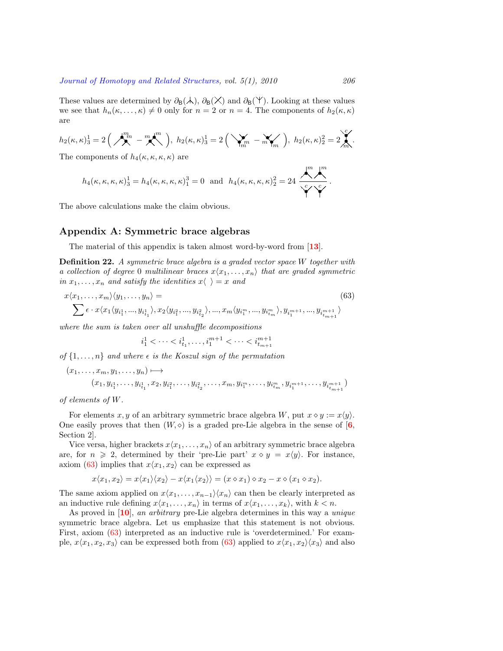These values are determined by  $\partial_B(\lambda)$ ,  $\partial_B(\lambda)$  and  $\partial_B(\lambda)$ . Looking at these values we see that  $h_n(\kappa, \ldots, \kappa) \neq 0$  only for  $n = 2$  or  $n = 4$ . The components of  $h_2(\kappa, \kappa)$ are

$$
h_2(\kappa, \kappa)_3^1 = 2\left(\bigwedge_{m=1}^{m} -\bigwedge_{m=1}^{m} \bigwedge_{m=1}^{m} \right), \ h_2(\kappa, \kappa)_3^1 = 2\left(\bigvee_{m=1}^{m} -\bigwedge_{m=1}^{m} \bigwedge_{m=1}^{m} \bigwedge_{m=1}^{m} \mathbb{Z}_{m}\right).
$$

The components of  $h_4(\kappa, \kappa, \kappa, \kappa)$  are

$$
h_4(\kappa,\kappa,\kappa,\kappa)^1_3=h_4(\kappa,\kappa,\kappa,\kappa)^3_1=0\ \ \text{and}\ \ h_4(\kappa,\kappa,\kappa,\kappa)^2_2=24\,\frac{\left.\stackrel{m}{\longleftrightarrow}\right.^m}{\left.\stackrel{m}{\longleftrightarrow}\right.^c}\,.
$$

The above calculations make the claim obvious.

# **Appendix A: Symmetric brace algebras**

<span id="page-29-0"></span>The material of this appendix is taken almost word-by-word from [**[13](#page-34-15)**].

**Definition 22.** *A symmetric brace algebra is a graded vector space W together with a collection of degree* 0 *multilinear braces*  $x\langle x_1, \ldots, x_n \rangle$  *that are graded symmetric in*  $x_1, \ldots, x_n$  *and satisfy the identities*  $x \langle \rangle = x$  *and* 

<span id="page-29-1"></span>
$$
x\langle x_1, \dots, x_m \rangle \langle y_1, \dots, y_n \rangle =
$$
\n
$$
\sum \epsilon \cdot x \langle x_1 \langle y_{i_1^1}, \dots, y_{i_{t_1}^1} \rangle, x_2 \langle y_{i_1^2}, \dots, y_{i_{t_2}^2} \rangle, \dots, x_m \langle y_{i_1^m}, \dots, y_{i_{t_m}^m} \rangle, y_{i_1^{m+1}}, \dots, y_{i_{t_{m+1}}^{m+1}} \rangle
$$
\n(63)

*where the sum is taken over all unshuffle decompositions*

$$
i_1^1<\dots
$$

*of*  $\{1, \ldots, n\}$  *and where*  $\epsilon$  *is the Koszul sign of the permutation* 

$$
(x_1, \ldots, x_m, y_1, \ldots, y_n) \mapsto (x_1, y_{i_1^1}, \ldots, y_{i_{t_1}^1}, x_2, y_{i_1^2}, \ldots, y_{i_{t_2}^2}, \ldots, x_m, y_{i_1^m}, \ldots, y_{i_{tm}^m}, y_{i_1^{m+1}}, \ldots, y_{i_{tm+1}^{m+1}})
$$

*of elements of W.*

For elements *x*, *y* of an arbitrary symmetric brace algebra *W*, put  $x \diamond y := x \langle y \rangle$ . One easily proves that then  $(W, \diamond)$  is a graded pre-Lie algebra in the sense of [[6](#page-33-0), Section 2].

Vice versa, higher brackets  $x\langle x_1, \ldots, x_n \rangle$  of an arbitrary symmetric brace algebra are, for  $n \geq 2$ , determined by their 'pre-Lie part'  $x \diamond y = x \langle y \rangle$ . For instance, axiom [\(63](#page-29-1)) implies that  $x\langle x_1, x_2 \rangle$  can be expressed as

$$
x\langle x_1, x_2\rangle = x\langle x_1\rangle \langle x_2\rangle - x\langle x_1 \langle x_2\rangle \rangle = (x \diamond x_1) \diamond x_2 - x \diamond (x_1 \diamond x_2).
$$

The same axiom applied on  $x\langle x_1, \ldots, x_{n-1} \rangle \langle x_n \rangle$  can then be clearly interpreted as an inductive rule defining  $x\langle x_1, \ldots, x_n \rangle$  in terms of  $x\langle x_1, \ldots, x_k \rangle$ , with  $k < n$ .

As proved in [**[10](#page-34-14)**], *an arbitrary* pre-Lie algebra determines in this way a *unique* symmetric brace algebra. Let us emphasize that this statement is not obvious. First, axiom [\(63](#page-29-1)) interpreted as an inductive rule is 'overdetermined.' For example,  $x\langle x_1, x_2, x_3 \rangle$  can be expressed both from [\(63](#page-29-1)) applied to  $x\langle x_1, x_2 \rangle \langle x_3 \rangle$  and also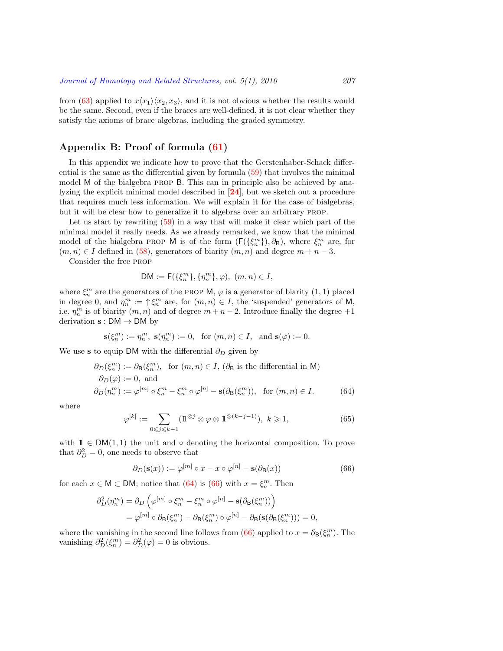from [\(63](#page-29-1)) applied to  $x\langle x_1 \rangle \langle x_2, x_3 \rangle$ , and it is not obvious whether the results would be the same. Second, even if the braces are well-defined, it is not clear whether they satisfy the axioms of brace algebras, including the graded symmetry.

# **Appendix B: Proof of formula ([61](#page-26-1))**

<span id="page-30-0"></span>In this appendix we indicate how to prove that the Gerstenhaber-Schack differential is the same as the differential given by formula [\(59](#page-25-0)) that involves the minimal model M of the bialgebra prop B. This can in principle also be achieved by analyzing the explicit minimal model described in [**[24](#page-34-1)**], but we sketch out a procedure that requires much less information. We will explain it for the case of bialgebras, but it will be clear how to generalize it to algebras over an arbitrary prop.

Let us start by rewriting([59\)](#page-25-0) in a way that will make it clear which part of the minimal model it really needs. As we already remarked, we know that the minimal model of the bialgebra PROP M is of the form  $(F({\xi_n^m})$ ,  $\partial_B)$ , where  $\xi_n^m$  are, for  $(m, n) \in I$  defined in [\(58](#page-24-1)), generators of biarity  $(m, n)$  and degree  $m + n - 3$ .

Consider the free prop

$$
\mathsf{DM} := \mathsf{F}(\{\xi_n^m\}, \{\eta_n^m\}, \varphi), \ (m, n) \in I,
$$

where  $\xi_n^m$  are the generators of the PROP M,  $\varphi$  is a generator of biarity  $(1,1)$  placed in degree 0, and  $\eta_n^m := \uparrow \xi_n^m$  are, for  $(m, n) \in I$ , the 'suspended' generators of M, i.e.  $\eta_n^m$  is of biarity  $(m, n)$  and of degree  $m + n - 2$ . Introduce finally the degree  $+1$ derivation **s** : DM *→* DM by

$$
\mathbf{s}(\xi_n^m):=\eta_n^m,\ \mathbf{s}(\eta_n^m):=0,\ \text{ for } (m,n)\in I,\ \text{ and } \mathbf{s}(\varphi):=0.
$$

We use **s** to equip DM with the differential  $\partial_D$  given by

<span id="page-30-1"></span>
$$
\partial_D(\xi_n^m) := \partial_{\mathsf{B}}(\xi_n^m), \text{ for } (m, n) \in I, (\partial_{\mathsf{B}} \text{ is the differential in } \mathsf{M})
$$
  
\n
$$
\partial_D(\varphi) := 0, \text{ and}
$$
  
\n
$$
\partial_D(\eta_n^m) := \varphi^{[m]} \circ \xi_n^m - \xi_n^m \circ \varphi^{[n]} - \mathbf{s}(\partial_{\mathsf{B}}(\xi_n^m)), \text{ for } (m, n) \in I.
$$
 (64)

where

<span id="page-30-3"></span>
$$
\varphi^{[k]} := \sum_{0 \le j \le k-1} (\mathbb{1}^{\otimes j} \otimes \varphi \otimes \mathbb{1}^{\otimes (k-j-1)}), \ k \ge 1,\tag{65}
$$

with 11 *∈* DM(1*,* 1) the unit and *◦* denoting the horizontal composition. To prove that  $\partial_D^2 = 0$ , one needs to observe that

<span id="page-30-2"></span>
$$
\partial_D(\mathbf{s}(x)) := \varphi^{[m]} \circ x - x \circ \varphi^{[n]} - \mathbf{s}(\partial_B(x)) \tag{66}
$$

for each  $x \in M \subset DM$ ; notice that [\(64](#page-30-1)) is [\(66](#page-30-2)) with  $x = \xi_n^m$ . Then

$$
\begin{split} \partial_D^2(\eta_n^m) &= \partial_D \left( \varphi^{[m]} \circ \xi_n^m - \xi_n^m \circ \varphi^{[n]} - \mathbf{s}(\partial_\mathbf{B}(\xi_n^m)) \right) \\ &= \varphi^{[m]} \circ \partial_\mathbf{B}(\xi_n^m) - \partial_\mathbf{B}(\xi_n^m) \circ \varphi^{[n]} - \partial_\mathbf{B}(\mathbf{s}(\partial_\mathbf{B}(\xi_n^m))) = 0, \end{split}
$$

wherethe vanishing in the second line follows from ([66\)](#page-30-2) applied to  $x = \partial_{\mathsf{B}}(\xi_n^m)$ . The vanishing  $\partial_D^2(\xi_n^m) = \partial_D^2(\varphi) = 0$  is obvious.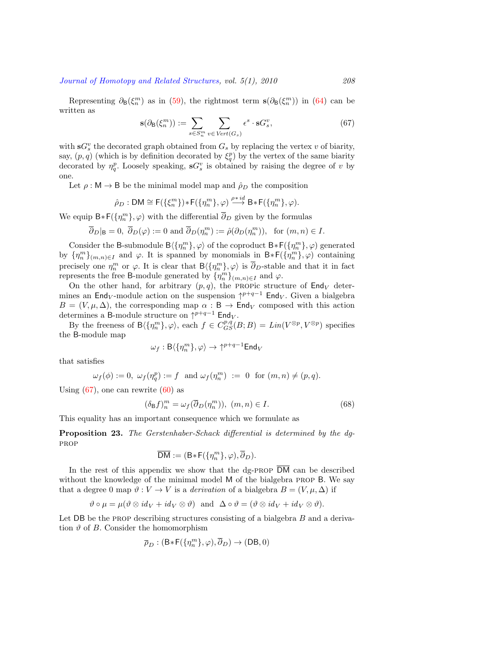Representing $\partial_B(\xi_n^m)$  as in ([59\)](#page-25-0), the rightmost term  $\mathbf{s}(\partial_B(\xi_n^m))$  in [\(64](#page-30-1)) can be written as

<span id="page-31-0"></span>
$$
\mathbf{s}(\partial_{\mathbf{B}}(\xi_n^m)) := \sum_{s \in S_n^m} \sum_{v \in Vert(G_s)} \epsilon^s \cdot \mathbf{s} G_s^v,
$$
\n(67)

with  $\mathbf{s}G_s^v$  the decorated graph obtained from  $G_s$  by replacing the vertex *v* of biarity, say,  $(p, q)$  (which is by definition decorated by  $\xi_q^p$ ) by the vertex of the same biarity decorated by  $\eta_q^p$ . Loosely speaking,  $\mathbf{s}G_s^v$  is obtained by raising the degree of *v* by one.

Let  $\rho : \mathsf{M} \to \mathsf{B}$  be the minimal model map and  $\rho_D$  the composition

$$
\hat{\rho}_D: \mathsf{DM} \cong \mathsf{F}(\{\xi_n^m\}) * \mathsf{F}(\{\eta_n^m\}, \varphi) \stackrel{\rho * id}{\longrightarrow} \mathsf{B} * \mathsf{F}(\{\eta_n^m\}, \varphi).
$$

We equip  $B * F(\lbrace \eta_n^m \rbrace, \varphi)$  with the differential  $\overline{\partial}_D$  given by the formulas

$$
\overline{\partial}_D|_{\mathsf{B}}=0, \ \overline{\partial}_D(\varphi):=0 \text{ and } \overline{\partial}_D(\eta_n^m):=\hat{\rho}(\partial_D(\eta_n^m)), \text{ for } (m,n)\in I.
$$

Consider the B-submodule  $B(\{\eta_n^m\}, \varphi)$  of the coproduct  $B * F(\{\eta_n^m\}, \varphi)$  generated by  ${\{\eta_n^m\}}_{(m,n)\in I}$  and  $\varphi$ . It is spanned by monomials in  $B * F({\{\eta_n^m\}}, \varphi)$  containing precisely one  $\eta_n^m$  or  $\varphi$ . It is clear that  $\mathsf{B}\langle\{\eta_n^m\},\varphi\rangle$  is  $\overline{\partial}_D$ -stable and that it in fact represents the free B-module generated by  $\{\eta_n^m\}_{(m,n)\in I}$  and  $\varphi$ .

On the other hand, for arbitrary  $(p, q)$ , the PROPic structure of  $\mathsf{End}_V$  determines an  $\textsf{End}_{V}$ -module action on the suspension  $\uparrow^{p+q-1}$  End<sub>*V*</sub>. Given a bialgebra  $B = (V, \mu, \Delta)$ , the corresponding map  $\alpha : \mathsf{B} \to \mathsf{End}_V$  composed with this action determines a B-module structure on *↑ <sup>p</sup>*+*q−*<sup>1</sup> End*<sup>V</sup>* .

By the freeness of  $B(\{\eta_n^m\}, \varphi)$ , each  $f \in C_{GS}^{p,q}(B;B) = Lin(V^{\otimes p}, V^{\otimes p})$  specifies the B-module map

$$
\omega_f: \mathsf{B}\langle \{\eta_n^m\}, \varphi\rangle \to \uparrow^{p+q-1} \mathsf{End}_V
$$

that satisfies

$$
\omega_f(\phi):=0,\ \omega_f(\eta^p_q):=f\ \text{ and } \omega_f(\eta^m_n)\ :=\ 0\ \text{ for }(m,n)\neq (p,q).
$$

Using $(67)$  $(67)$ , one can rewrite  $(60)$  as

<span id="page-31-1"></span>
$$
(\delta_{\mathsf{B}}f)_n^m = \omega_f(\overline{\partial}_D(\eta_n^m)), \ (m, n) \in I. \tag{68}
$$

This equality has an important consequence which we formulate as

**Proposition 23.** *The Gerstenhaber-Schack differential is determined by the dg*prop

$$
\overline{\mathsf{DM}}:=(\mathsf{B}\ast\mathsf{F}(\{\eta^m_n\},\varphi),\overline{\partial}_D).
$$

In the rest of this appendix we show that the dg-PROP  $\overline{DM}$  can be described without the knowledge of the minimal model M of the bialgebra prop B. We say that a degree 0 map  $\vartheta : V \to V$  is a *derivation* of a bialgebra  $B = (V, \mu, \Delta)$  if

$$
\vartheta \circ \mu = \mu(\vartheta \otimes id_V + id_V \otimes \vartheta) \text{ and } \Delta \circ \vartheta = (\vartheta \otimes id_V + id_V \otimes \vartheta).
$$

Let DB be the prop describing structures consisting of a bialgebra *B* and a derivation  $\vartheta$  of *B*. Consider the homomorphism

$$
\overline{\rho}_D:(\mathsf{B} * \mathsf{F}(\{ \eta_n^m \}, \varphi), \overline{\partial}_D) \to (\mathsf{DB}, 0)
$$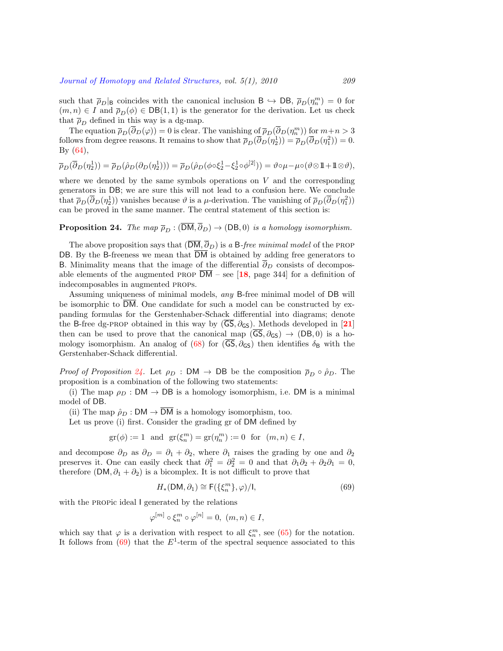such that  $\bar{p}_D|_B$  coincides with the canonical inclusion  $B \hookrightarrow DB$ ,  $\bar{p}_D(\eta_n^m) = 0$  for  $(m, n) \in I$  and  $\overline{\rho}_D(\phi) \in \text{DB}(1, 1)$  is the generator for the derivation. Let us check that  $\bar{p}_D$  defined in this way is a dg-map.

The equation  $\overline{\rho}_D(\overline{\partial}_D(\varphi)) = 0$  is clear. The vanishing of  $\overline{\rho}_D(\overline{\partial}_D(\eta_n^m))$  for  $m+n > 3$ follows from degree reasons. It remains to show that  $\overline{\rho}_D(\overline{\partial}_D(\eta_2^1)) = \overline{\rho}_D(\overline{\partial}_D(\eta_1^2)) = 0$ . By([64](#page-30-1)),

$$
\overline{\rho}_D(\overline{\partial}_D(\eta_2^1)) = \overline{\rho}_D(\hat{\rho}_D(\partial_D(\eta_2^1))) = \overline{\rho}_D(\hat{\rho}_D(\phi \circ \xi_2^1 - \xi_2^1 \circ \phi^{[2]})) = \vartheta \circ \mu - \mu \circ (\vartheta \otimes \mathbb{1} + \mathbb{1} \otimes \vartheta),
$$

where we denoted by the same symbols operations on *V* and the corresponding generators in DB; we are sure this will not lead to a confusion here. We conclude that  $\overline{\rho}_D(\overline{\partial}_D(\eta_2^1))$  vanishes because  $\vartheta$  is a *µ*-derivation. The vanishing of  $\overline{\rho}_D(\overline{\partial}_D(\eta_1^2))$ can be proved in the same manner. The central statement of this section is:

<span id="page-32-0"></span>**Proposition 24.** *The map*  $\overline{\rho}_D$  :  $(\overline{DM}, \overline{\partial}_D) \rightarrow (DB, 0)$  *is a homology isomorphism.* 

The above proposition says that  $(\overline{DM}, \overline{\partial}_D)$  is *a* B-free minimal model of the PROP DB. By the B-freeness we mean that  $\overline{DM}$  is obtained by adding free generators to B. Minimality means that the image of the differential  $\partial_D$  consists of decomposable elements of the augmented prop DM – see [**[18](#page-34-2)**, page 344] for a definition of indecomposables in augmented props.

Assuming uniqueness of minimal models, *any* B-free minimal model of DB will be isomorphic to DM. One candidate for such a model can be constructed by expanding formulas for the Gerstenhaber-Schack differential into diagrams; denote the B-free dg-PROP obtained in this way by  $(\overline{GS}, \partial_{GS})$ . Methods developed in [[21](#page-34-5)] then can be used to prove that the canonical map  $(\overline{GS}, \partial_{GS}) \rightarrow (DB, 0)$  is a ho-mologyisomorphism. An analog of ([68\)](#page-31-1) for  $(\overline{GS}, \partial_{GS})$  then identifies  $\delta_B$  with the Gerstenhaber-Schack differential.

*Proof of Proposition* [24.](#page-32-0) Let  $\rho_D$  : DM  $\rightarrow$  DB be the composition  $\overline{\rho}_D \circ \hat{\rho}_D$ . The proposition is a combination of the following two statements:

(i) The map  $\rho_D : DM \to DB$  is a homology isomorphism, i.e. DM is a minimal model of DB.

(ii) The map  $\hat{\rho}_D : DM \to \overline{DM}$  is a homology isomorphism, too.

Let us prove (i) first. Consider the grading gr of DM defined by

$$
\text{gr}(\phi) := 1 \quad \text{and} \quad \text{gr}(\xi_n^m) = \text{gr}(\eta_n^m) := 0 \quad \text{for} \quad (m, n) \in I,
$$

and decompose  $\partial_D$  as  $\partial_D = \partial_1 + \partial_2$ , where  $\partial_1$  raises the grading by one and  $\partial_2$ preserves it. One can easily check that  $\partial_1^2 = \partial_2^2 = 0$  and that  $\partial_1 \partial_2 + \partial_2 \partial_1 = 0$ , therefore (DM,  $\partial_1 + \partial_2$ ) is a bicomplex. It is not difficult to prove that

<span id="page-32-1"></span>
$$
H_*(\mathsf{DM}, \partial_1) \cong \mathsf{F}(\{\xi_n^m\}, \varphi)/\mathsf{I},\tag{69}
$$

with the propic ideal I generated by the relations

$$
\varphi^{[m]} \circ \xi_n^m \circ \varphi^{[n]} = 0, \ (m, n) \in I,
$$

whichsay that  $\varphi$  is a derivation with respect to all  $\xi_n^m$ , see ([65\)](#page-30-3) for the notation. It follows from [\(69](#page-32-1)) that the *E*<sup>1</sup> -term of the spectral sequence associated to this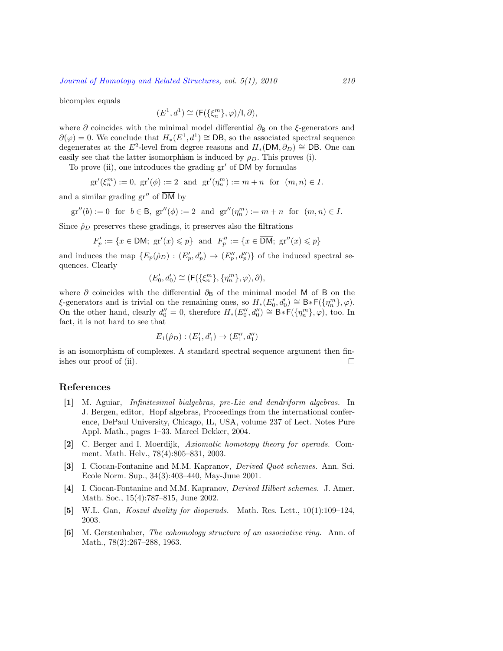bicomplex equals

$$
(E^1,d^1)\cong (\mathsf{F}(\{\xi_n^m\},\varphi)/\mathsf{I},\partial),
$$

where  $\partial$  coincides with the minimal model differential  $\partial_B$  on the  $\xi$ -generators and  $∂(φ) = 0$ . We conclude that  $H_*(E^1, d^1) \cong$  DB, so the associated spectral sequence degenerates at the  $E^2$ -level from degree reasons and  $H_*(DM, \partial_D) \cong DB$ . One can easily see that the latter isomorphism is induced by  $\rho_D$ . This proves (i).

To prove (ii), one introduces the grading gr*′* of DM by formulas

$$
gr'(\xi_n^m) := 0
$$
,  $gr'(\phi) := 2$  and  $gr'(\eta_n^m) := m + n$  for  $(m, n) \in I$ .

and a similar grading gr*′′* of DM by

$$
\mathrm{gr}''(b):=0\;\;\text{for}\;\;b\in\mathsf{B},\;\mathrm{gr}''(\phi):=2\;\;\text{and}\;\;\mathrm{gr}''(\eta^m_n):=m+n\;\;\text{for}\;\; (m,n)\in I.
$$

Since  $\rho_D$  preserves these gradings, it preserves also the filtrations

$$
F'_p := \{ x \in \mathsf{DM}; \, \, \text{gr}'(x) \leqslant p \} \, \, \text{ and } \, \, F''_p := \{ x \in \overline{\mathsf{DM}}; \, \, \text{gr}''(x) \leqslant p \}
$$

and induces the map  $\{E_p(\hat{\rho}_D) : (E'_p, d'_p) \to (E''_p, d''_p)\}\$  of the induced spectral sequences. Clearly

$$
(E'_0,d'_0)\cong (\mathsf{F}(\{\xi_n^m\},\{\eta_n^m\},\varphi),\partial),
$$

where *∂* coincides with the differential  $∂$ <sub>B</sub> of the minimal model M of B on the *ξ*-generators and is trivial on the remaining ones, so  $H_*(E'_0, d'_0) \cong B * F(\{\eta_n^m\}, \varphi)$ . On the other hand, clearly  $d''_0 = 0$ , therefore  $H_*(E''_0, d''_0) \cong B_*\tilde{F}(\{\eta_n^m\}, \varphi)$ , too. In fact, it is not hard to see that

$$
E_1(\hat{\rho}_D) : (E'_1, d'_1) \to (E''_1, d''_1)
$$

is an isomorphism of complexes. A standard spectral sequence argument then finishes our proof of (ii).  $\Box$ 

## **References**

- <span id="page-33-2"></span>**[1]** M. Aguiar, *Infinitesimal bialgebras, pre-Lie and dendriform algebras.* In J. Bergen, editor, Hopf algebras, Proceedings from the international conference, DePaul University, Chicago, IL, USA, volume 237 of Lect. Notes Pure Appl. Math., pages 1–33. Marcel Dekker, 2004.
- <span id="page-33-3"></span>**[2]** C. Berger and I. Moerdijk, *Axiomatic homotopy theory for operads.* Comment. Math. Helv., 78(4):805–831, 2003.
- <span id="page-33-5"></span>**[3]** I. Ciocan-Fontanine and M.M. Kapranov, *Derived Quot schemes.* Ann. Sci. Ecole Norm. Sup., 34(3):403–440, May-June 2001.
- <span id="page-33-4"></span>**[4]** I. Ciocan-Fontanine and M.M. Kapranov, *Derived Hilbert schemes.* J. Amer. Math. Soc., 15(4):787–815, June 2002.
- <span id="page-33-1"></span>**[5]** W.L. Gan, *Koszul duality for dioperads.* Math. Res. Lett., 10(1):109–124, 2003.
- <span id="page-33-0"></span>**[6]** M. Gerstenhaber, *The cohomology structure of an associative ring.* Ann. of Math., 78(2):267–288, 1963.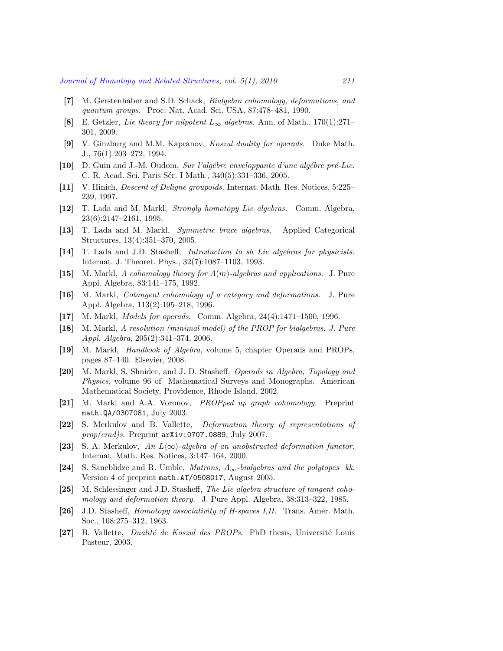- <span id="page-34-0"></span>**[7]** M. Gerstenhaber and S.D. Schack, *Bialgebra cohomology, deformations, and quantum groups.* Proc. Nat. Acad. Sci. USA, 87:478–481, 1990.
- <span id="page-34-16"></span>**[8]** E. Getzler, *Lie theory for nilpotent L<sup>∞</sup> algebras.* Ann. of Math., 170(1):271– 301, 2009.
- <span id="page-34-10"></span>**[9]** V. Ginzburg and M.M. Kapranov, *Koszul duality for operads.* Duke Math. J., 76(1):203–272, 1994.
- <span id="page-34-14"></span>**[10]** D. Guin and J.-M. Oudom, *Sur l'alg´ebre enveloppante d'une alg´ebre pr´e-Lie.* C. R. Acad. Sci. Paris Sér. I Math., 340(5):331–336, 2005.
- <span id="page-34-13"></span>**[11]** V. Hinich, *Descent of Deligne groupoids.* Internat. Math. Res. Notices, 5:225– 239, 1997.
- <span id="page-34-7"></span>**[12]** T. Lada and M. Markl, *Strongly homotopy Lie algebras.* Comm. Algebra, 23(6):2147–2161, 1995.
- <span id="page-34-15"></span>**[13]** T. Lada and M. Markl, *Symmetric brace algebras.* Applied Categorical Structures, 13(4):351–370, 2005.
- <span id="page-34-8"></span>**[14]** T. Lada and J.D. Stasheff, *Introduction to sh Lie algebras for physicists.* Internat. J. Theoret. Phys., 32(7):1087–1103, 1993.
- <span id="page-34-20"></span>**[15]** M. Markl, *A cohomology theory for A*(*m*)*-algebras and applications.* J. Pure Appl. Algebra, 83:141–175, 1992.
- <span id="page-34-11"></span>**[16]** M. Markl, *Cotangent cohomology of a category and deformations.* J. Pure Appl. Algebra, 113(2):195–218, 1996.
- <span id="page-34-19"></span>**[17]** M. Markl, *Models for operads.* Comm. Algebra, 24(4):1471–1500, 1996.
- <span id="page-34-2"></span>**[18]** M. Markl, *A resolution (minimal model) of the PROP for bialgebras. J. Pure Appl. Algebra*, 205(2):341–374, 2006.
- <span id="page-34-3"></span>**[19]** M. Markl, *Handbook of Algebra*, volume 5, chapter Operads and PROPs, pages 87–140. Elsevier, 2008.
- <span id="page-34-4"></span>**[20]** M. Markl, S. Shnider, and J. D. Stasheff, *Operads in Algebra, Topology and Physics*, volume 96 of Mathematical Surveys and Monographs. American Mathematical Society, Providence, Rhode Island, 2002.
- <span id="page-34-5"></span>**[21]** M. Markl and A.A. Voronov, *PROPped up graph cohomology.* Preprint math.QA/0307081, July 2003.
- <span id="page-34-9"></span>**[22]** S. Merkulov and B. Vallette, *Deformation theory of representations of prop(erad)s.* Preprint arXiv:0707.0889, July 2007.
- <span id="page-34-17"></span>**[23]** S. A. Merkulov, *An L⟨∞⟩-algebra of an unobstructed deformation functor.* Internat. Math. Res. Notices, 3:147–164, 2000.
- <span id="page-34-1"></span>**[24]** S. Saneblidze and R. Umble, *Matrons, A∞-bialgebras and the polytopes kk*. Version 4 of preprint math.AT/0508017, August 2005.
- <span id="page-34-12"></span>**[25]** M. Schlessinger and J.D. Stasheff, *The Lie algebra structure of tangent cohomology and deformation theory.* J. Pure Appl. Algebra, 38:313–322, 1985.
- <span id="page-34-18"></span>**[26]** J.D. Stasheff, *Homotopy associativity of H-spaces I,II.* Trans. Amer. Math. Soc., 108:275–312, 1963.
- <span id="page-34-6"></span>[27] B. Vallette, *Dualité de Koszul des PROPs*. PhD thesis, Université Louis Pasteur, 2003.